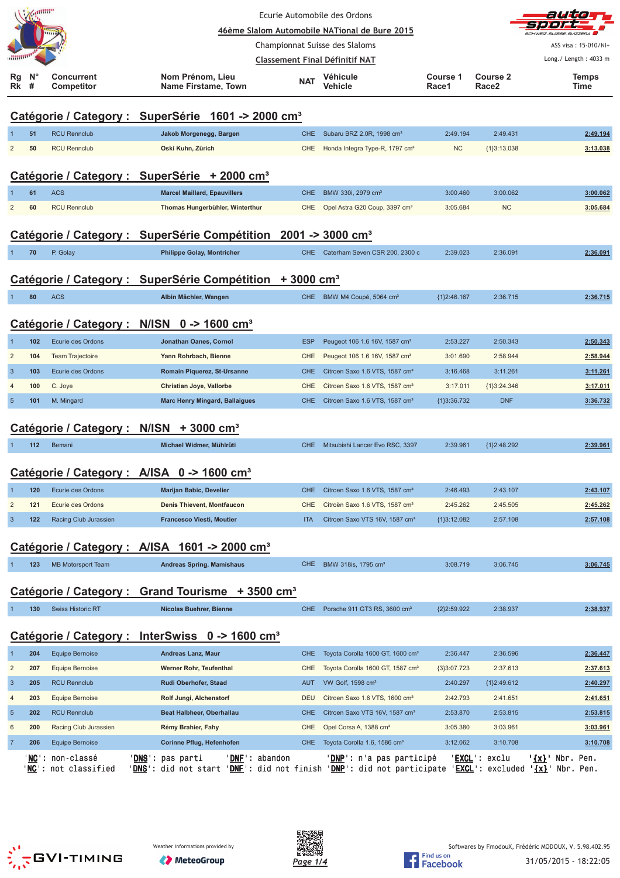|                         |         |                                                        |                                                                                                                                                                                           | Ecurie Automobile des Ordons                  |                                              |                          |                                      | autio<br>=1 = 1 = 1 r       |
|-------------------------|---------|--------------------------------------------------------|-------------------------------------------------------------------------------------------------------------------------------------------------------------------------------------------|-----------------------------------------------|----------------------------------------------|--------------------------|--------------------------------------|-----------------------------|
|                         |         |                                                        |                                                                                                                                                                                           | 46ème Slalom Automobile NATional de Bure 2015 |                                              |                          | <b>SCHWEIZ.SUISSE.SVIZZERA</b>       |                             |
|                         |         |                                                        |                                                                                                                                                                                           | Championnat Suisse des Slaloms                |                                              |                          |                                      | ASS visa: 15-010/NI+        |
|                         |         |                                                        |                                                                                                                                                                                           | <b>Classement Final Définitif NAT</b>         |                                              |                          |                                      | Long./ Length: 4033 m       |
| Rg<br>Rk                | N°<br># | <b>Concurrent</b><br><b>Competitor</b>                 | Nom Prénom, Lieu<br>Name Firstame, Town                                                                                                                                                   | <b>NAT</b>                                    | Véhicule<br>Vehicle                          | <b>Course 1</b><br>Race1 | <b>Course 2</b><br>Race <sub>2</sub> | <b>Temps</b><br>Time        |
|                         |         |                                                        | Catégorie / Category : SuperSérie 1601 -> 2000 cm <sup>3</sup>                                                                                                                            |                                               |                                              |                          |                                      |                             |
|                         | 51      | <b>RCU Rennclub</b>                                    | Jakob Morgenegg, Bargen                                                                                                                                                                   | <b>CHE</b>                                    | Subaru BRZ 2.0R, 1998 cm <sup>3</sup>        | 2:49.194                 | 2:49.431                             | 2:49.194                    |
| $\overline{2}$          | 50      | <b>RCU Rennclub</b>                                    | Oski Kuhn, Zürich                                                                                                                                                                         | <b>CHE</b>                                    | Honda Integra Type-R, 1797 cm <sup>3</sup>   | <b>NC</b>                | {1}3:13.038                          | 3:13.038                    |
|                         |         |                                                        |                                                                                                                                                                                           |                                               |                                              |                          |                                      |                             |
|                         |         |                                                        | Catégorie / Category : SuperSérie + 2000 cm <sup>3</sup>                                                                                                                                  |                                               |                                              |                          |                                      |                             |
|                         | 61      | <b>ACS</b>                                             | <b>Marcel Maillard, Epauvillers</b>                                                                                                                                                       | <b>CHE</b>                                    | BMW 330i, 2979 cm <sup>3</sup>               | 3:00.460                 | 3:00.062                             | 3:00.062                    |
| $\overline{2}$          | 60      | <b>RCU Rennclub</b>                                    | Thomas Hungerbühler, Winterthur                                                                                                                                                           | <b>CHE</b>                                    | Opel Astra G20 Coup, 3397 cm <sup>3</sup>    | 3:05.684                 | <b>NC</b>                            | 3:05.684                    |
|                         |         |                                                        |                                                                                                                                                                                           |                                               |                                              |                          |                                      |                             |
|                         |         |                                                        | Catégorie / Category : SuperSérie Compétition 2001 -> 3000 cm <sup>3</sup>                                                                                                                |                                               |                                              |                          |                                      |                             |
|                         | 70      | P. Golay                                               | <b>Philippe Golay, Montricher</b>                                                                                                                                                         | CHE.                                          | Caterham Seven CSR 200, 2300 c               | 2:39.023                 | 2:36.091                             | 2:36.091                    |
|                         |         |                                                        |                                                                                                                                                                                           |                                               |                                              |                          |                                      |                             |
|                         |         |                                                        | Catégorie / Category : SuperSérie Compétition + 3000 cm <sup>3</sup>                                                                                                                      |                                               |                                              |                          |                                      |                             |
|                         | 80      | <b>ACS</b>                                             | Albin Mächler, Wangen                                                                                                                                                                     | CHE                                           | BMW M4 Coupé, 5064 cm <sup>3</sup>           | ${1}2:46.167$            | 2:36.715                             | 2:36.715                    |
|                         |         |                                                        |                                                                                                                                                                                           |                                               |                                              |                          |                                      |                             |
|                         |         |                                                        | Catégorie / Category : N/ISN 0 -> 1600 cm <sup>3</sup>                                                                                                                                    |                                               |                                              |                          |                                      |                             |
|                         | 102     | Ecurie des Ordons                                      | Jonathan Oanes, Cornol                                                                                                                                                                    | <b>ESP</b>                                    | Peugeot 106 1.6 16V, 1587 cm <sup>3</sup>    | 2:53.227                 | 2:50.343                             | 2:50.343                    |
| $\overline{2}$          | 104     | <b>Team Trajectoire</b>                                | Yann Rohrbach, Bienne                                                                                                                                                                     | <b>CHE</b>                                    | Peugeot 106 1.6 16V, 1587 cm <sup>3</sup>    | 3:01.690                 | 2:58.944                             | 2:58.944                    |
| $\overline{3}$          | 103     | Ecurie des Ordons                                      | Romain Piquerez, St-Ursanne                                                                                                                                                               | <b>CHE</b>                                    | Citroen Saxo 1.6 VTS, 1587 cm <sup>3</sup>   | 3:16.468                 | 3:11.261                             | 3:11.261                    |
| $\overline{4}$          | 100     | C. Joye                                                | Christian Joye, Vallorbe                                                                                                                                                                  | <b>CHE</b>                                    | Citroen Saxo 1.6 VTS, 1587 cm <sup>3</sup>   | 3:17.011                 | ${1}3:24.346$                        | 3:17.011                    |
| $\overline{5}$          | 101     | M. Mingard                                             | <b>Marc Henry Mingard, Ballaigues</b>                                                                                                                                                     | <b>CHE</b>                                    | Citroen Saxo 1.6 VTS, 1587 cm <sup>3</sup>   | ${1}3:36.732$            | <b>DNF</b>                           | 3:36.732                    |
|                         |         |                                                        | Catégorie / Category : N/ISN + 3000 cm <sup>3</sup>                                                                                                                                       |                                               |                                              |                          |                                      |                             |
|                         | 112     | Bemani                                                 | Michael Widmer, Mühlrüti                                                                                                                                                                  | <b>CHE</b>                                    | Mitsubishi Lancer Evo RSC, 3397              | 2:39.961                 | {1}2:48.292                          | 2:39.961                    |
|                         |         |                                                        |                                                                                                                                                                                           |                                               |                                              |                          |                                      |                             |
|                         |         |                                                        | Catégorie / Category : A/ISA 0 -> 1600 cm <sup>3</sup>                                                                                                                                    |                                               |                                              |                          |                                      |                             |
| $\mathbf 1$             | 120     | Ecurie des Ordons                                      | Marijan Babic, Develier                                                                                                                                                                   | <b>CHE</b>                                    | Citroen Saxo 1.6 VTS, 1587 cm <sup>3</sup>   | 2:46.493                 | 2:43.107                             | 2:43.107                    |
| $\overline{\mathbf{c}}$ | 121     | Ecurie des Ordons                                      | <b>Denis Thievent, Montfaucon</b>                                                                                                                                                         | CHE                                           | Citroën Saxo 1.6 VTS, 1587 cm <sup>3</sup>   | 2:45.262                 | 2:45.505                             | 2:45.262                    |
| $\mathbf{3}$            | 122     | Racing Club Jurassien                                  | <b>Francesco Viesti, Moutier</b>                                                                                                                                                          | <b>ITA</b>                                    | Citroen Saxo VTS 16V, 1587 cm <sup>3</sup>   | ${1}3:12.082$            | 2:57.108                             | 2:57.108                    |
|                         |         |                                                        |                                                                                                                                                                                           |                                               |                                              |                          |                                      |                             |
|                         |         |                                                        | Catégorie / Category : A/ISA 1601 -> 2000 cm <sup>3</sup>                                                                                                                                 |                                               |                                              |                          |                                      |                             |
|                         | 123     | <b>MB Motorsport Team</b>                              | <b>Andreas Spring, Mamishaus</b>                                                                                                                                                          | <b>CHE</b>                                    | BMW 318is, 1795 cm <sup>3</sup>              | 3:08.719                 | 3:06.745                             | 3:06.745                    |
|                         |         |                                                        |                                                                                                                                                                                           |                                               |                                              |                          |                                      |                             |
|                         |         |                                                        | Catégorie / Category : Grand Tourisme + 3500 cm <sup>3</sup>                                                                                                                              |                                               |                                              |                          |                                      |                             |
| 1                       | 130     | <b>Swiss Historic RT</b>                               | <b>Nicolas Buehrer, Bienne</b>                                                                                                                                                            | CHE.                                          | Porsche 911 GT3 RS, 3600 cm <sup>3</sup>     | ${2}2:59.922$            | 2:38.937                             | 2:38.937                    |
|                         |         |                                                        |                                                                                                                                                                                           |                                               |                                              |                          |                                      |                             |
|                         |         |                                                        | Catégorie / Category : InterSwiss 0 -> 1600 cm <sup>3</sup>                                                                                                                               |                                               |                                              |                          |                                      |                             |
| 1                       | 204     | Equipe Bernoise                                        | <b>Andreas Lanz, Maur</b>                                                                                                                                                                 | CHE                                           | Toyota Corolla 1600 GT, 1600 cm <sup>3</sup> | 2:36.447                 | 2:36.596                             | 2:36.447                    |
| $\overline{c}$          | 207     | <b>Equipe Bernoise</b>                                 | Werner Rohr, Teufenthal                                                                                                                                                                   | CHE                                           | Toyota Corolla 1600 GT, 1587 cm <sup>3</sup> | ${3}3:07.723$            | 2:37.613                             | 2:37.613                    |
| 3                       | 205     | <b>RCU Rennclub</b>                                    | Rudi Oberhofer, Staad                                                                                                                                                                     | AUT                                           | VW Golf, 1598 cm <sup>3</sup>                | 2:40.297                 | ${1}2:49.612$                        | 2:40.297                    |
| $\overline{4}$          | 203     | <b>Equipe Bernoise</b>                                 | Rolf Jungi, Alchenstorf                                                                                                                                                                   | <b>DEU</b>                                    | Citroen Saxo 1.6 VTS, 1600 cm <sup>3</sup>   | 2:42.793                 | 2:41.651                             | 2:41.651                    |
| 5                       | 202     | <b>RCU Rennclub</b>                                    | Beat Halbheer, Oberhallau                                                                                                                                                                 | <b>CHE</b>                                    | Citroen Saxo VTS 16V, 1587 cm <sup>3</sup>   | 2:53.870                 | 2:53.815                             | 2:53.815                    |
| 6                       | 200     | Racing Club Jurassien                                  | Rémy Brahier, Fahy                                                                                                                                                                        | CHE                                           | Opel Corsa A, 1388 cm <sup>3</sup>           | 3:05.380                 | 3:03.961                             | 3:03.961                    |
| $\overline{7}$          | 206     | <b>Equipe Bernoise</b>                                 | Corinne Pflug, Hefenhofen                                                                                                                                                                 | CHE                                           | Toyota Corolla 1.6, 1586 cm <sup>3</sup>     | 3:12.062                 | 3:10.708                             | 3:10.708                    |
|                         |         | ' <mark>NC</mark> ': non-classé<br>NC': not classified | ' <u>DNS</u> ': pas parti<br>'DNE': abandon<br>' <b>DNS':</b> did not start <b>'DNF':</b> did not finish <b>'DNP':</b> did not participate <b>'EXCL':</b> excluded <b>'{x}'</b> Nbr. Pen. |                                               | ' <u>DNP</u> ': n'a pas participé            |                          | ' <u>EXCL</u> ': exclu               | ' <u>{x}</u> ' Nbr.<br>Pen. |
|                         |         |                                                        |                                                                                                                                                                                           |                                               |                                              |                          |                                      |                             |
|                         |         |                                                        |                                                                                                                                                                                           |                                               |                                              |                          |                                      |                             |



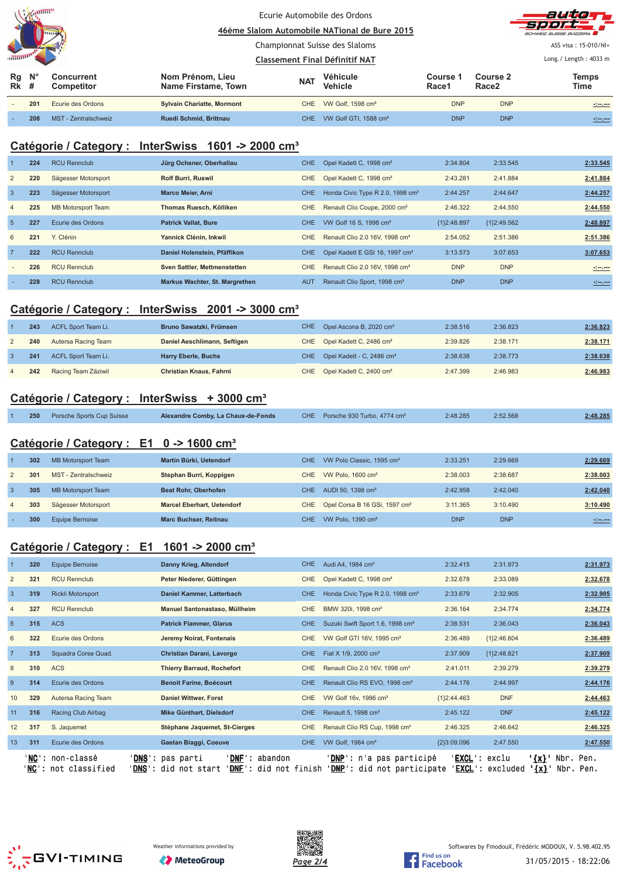| $Z$ annum<br><b>HITTING</b> |                  |                          | Ecurie Automobile des Ordons<br>46ème Slalom Automobile NATional de Bure 2015 |            |                                   |                   |                   | auto<br>-SDOFF<br>SCHWEIZ.SUISSE.SVIZZERA                    |
|-----------------------------|------------------|--------------------------|-------------------------------------------------------------------------------|------------|-----------------------------------|-------------------|-------------------|--------------------------------------------------------------|
|                             |                  |                          | Championnat Suisse des Slaloms                                                |            |                                   |                   |                   | ASS visa: 15-010/NI+                                         |
| <b><i><u>HUND</u></i></b>   |                  |                          | <b>Classement Final Définitif NAT</b>                                         |            | Long./ Length: 4033 m             |                   |                   |                                                              |
| Rg<br>Rk                    | $N^{\circ}$<br># | Concurrent<br>Competitor | Nom Prénom, Lieu<br>Name Firstame, Town                                       | <b>NAT</b> | Véhicule<br>Vehicle               | Course 1<br>Race1 | Course 2<br>Race2 | <b>Temps</b><br>Time                                         |
|                             | 201              | Ecurie des Ordons        | <b>Sylvain Chariatte, Mormont</b>                                             | CHE.       | VW Golf, 1598 cm <sup>3</sup>     | <b>DNP</b>        | <b>DNP</b>        | $\sigma_{\rm c}^2$ and $\sigma_{\rm c}$ and $\sigma_{\rm c}$ |
|                             | 208              | MST - Zentralschweiz     | Ruedi Schmid, Brittnau                                                        | CHE.       | VW Golf GTI, 1588 cm <sup>3</sup> | <b>DNP</b>        | <b>DNP</b>        | <u> 2000 - 200</u>                                           |

### **Catégorie / Category : InterSwiss 1601 -> 2000 cm³**

|                | 224 | <b>RCU Rennclub</b> | Jürg Ochsner, Oberhallau       | CHE.       | Opel Kadett C, 1998 cm <sup>3</sup>          | 2:34.804      | 2:33.545    | 2:33.545           |
|----------------|-----|---------------------|--------------------------------|------------|----------------------------------------------|---------------|-------------|--------------------|
| 2              | 220 | Sägesser Motorsport | <b>Rolf Burri, Ruswil</b>      | CHE.       | Opel Kadett C, 1998 cm <sup>3</sup>          | 2:43.281      | 2:41.884    | 2:41.884           |
| $\overline{3}$ | 223 | Sägesser Motorsport | <b>Marco Meier, Arni</b>       | <b>CHE</b> | Honda Civic Type R 2.0, 1998 cm <sup>3</sup> | 2:44.257      | 2:44.647    | 2:44.257           |
| $\overline{4}$ | 225 | MB Motorsport Team  | Thomas Ruesch, Kölliken        | <b>CHE</b> | Renault Clio Coupe, 2000 cm <sup>3</sup>     | 2:46.322      | 2:44.550    | 2:44.550           |
| $5^{\circ}$    | 227 | Ecurie des Ordons   | <b>Patrick Vallat, Bure</b>    | <b>CHE</b> | VW Golf 16 S, 1998 cm <sup>3</sup>           | ${1}2:48.897$ | {1}2:49.562 | 2:48.897           |
| 6              | 221 | Y. Clénin           | Yannick Clénin, Inkwil         | <b>CHE</b> | Renault Clio 2.0 16V, 1998 cm <sup>3</sup>   | 2:54.052      | 2:51.386    | 2:51.386           |
| $\overline{7}$ | 222 | <b>RCU Rennclub</b> | Daniel Holenstein, Pfäffikon   | <b>CHE</b> | Opel Kadett E GSI 16, 1997 cm <sup>3</sup>   | 3:13.573      | 3:07.653    | 3:07.653           |
|                | 226 | <b>RCU Rennclub</b> | Sven Sattler, Mettmenstetten   | <b>CHE</b> | Renault Clio 2.0 16V, 1998 cm <sup>3</sup>   | <b>DNP</b>    | <b>DNP</b>  | <u>simens</u>      |
|                | 228 | <b>RCU Rennclub</b> | Markus Wachter, St. Margrethen | <b>AUT</b> | Renault Clio Sport, 1998 cm <sup>3</sup>     | <b>DNP</b>    | <b>DNP</b>  | <u> 1919 - 191</u> |

### **Catégorie / Category : InterSwiss 2001 -> 3000 cm³**

| 243 | ACFL Sport Team Li. | Bruno Sawatzki, Frümsen      | CHE Opel Ascona B, 2020 cm <sup>3</sup>   | 2:38.516 | 2:36.823 | 2:36.823 |
|-----|---------------------|------------------------------|-------------------------------------------|----------|----------|----------|
| 240 | Autersa Racing Team | Daniel Aeschlimann, Seftigen | CHE Opel Kadett C, 2486 cm <sup>3</sup>   | 2:39.826 | 2:38.171 | 2:38.171 |
| 241 | ACFL Sport Team Li. | <b>Harry Eberle, Buchs</b>   | CHE Opel Kadett - C, 2486 cm <sup>3</sup> | 2:38.638 | 2:38.773 | 2:38.638 |
| 242 | Racing Team Zäziwil | Christian Knaus, Fahrni      | CHE Opel Kadett C, 2400 cm <sup>3</sup>   | 2:47.399 | 2:46.983 | 2:46.983 |

### **Catégorie / Category : InterSwiss + 3000 cm³**

|  | <b>250</b> Porsche Sports Cup Suisse | Alexandre Comby, La Chaux-de-Fonds |  | CHE Porsche 930 Turbo, 4774 cm <sup>3</sup> | 2:48.285 | 2:52.568 | 2:48.285 |
|--|--------------------------------------|------------------------------------|--|---------------------------------------------|----------|----------|----------|
|--|--------------------------------------|------------------------------------|--|---------------------------------------------|----------|----------|----------|

### **Catégorie / Category : E1 0 -> 1600 cm³**

|                | 302 | MB Motorsport Team   | Martin Bürki, Uetendorf           | CHE. | VW Polo Classic, 1595 cm <sup>3</sup>         | 2:33.251   | 2:29.669   | 2:29.669 |
|----------------|-----|----------------------|-----------------------------------|------|-----------------------------------------------|------------|------------|----------|
|                | 301 | MST - Zentralschweiz | Stephan Burri, Koppigen           | CHE. | VW Polo, $1600 \text{ cm}^3$                  | 2:38.003   | 2:38.687   | 2:38.003 |
| 3              | 305 | MB Motorsport Team   | <b>Beat Rohr, Oberhofen</b>       | CHE. | AUDI 50, 1398 cm <sup>3</sup>                 | 2:42.958   | 2:42.040   | 2:42.040 |
| $\overline{4}$ | 303 | Sägesser Motorsport  | <b>Marcel Eberhart, Uetendorf</b> |      | CHE Opel Corsa B 16 GSi, 1597 cm <sup>3</sup> | 3:11.365   | 3:10.490   | 3:10.490 |
|                | 300 | Equipe Bernoise      | <b>Marc Buchser, Reitnau</b>      | CHE. | VW Polo, $1390 \text{ cm}^3$                  | <b>DNP</b> | <b>DNP</b> | استنت    |

## **Catégorie / Category : E1 1601 -> 2000 cm³**

|                 | 320    | <b>Equipe Bernoise</b>                      | Danny Krieg, Altendorf                                                                              | CHE.       | Audi A4, 1984 cm <sup>3</sup>                                       | 2:32.415           | 2:31.973          |                                                  | 2:31.973 |
|-----------------|--------|---------------------------------------------|-----------------------------------------------------------------------------------------------------|------------|---------------------------------------------------------------------|--------------------|-------------------|--------------------------------------------------|----------|
| $\overline{2}$  | 321    | <b>RCU Rennclub</b>                         | Peter Niederer, Güttingen                                                                           | <b>CHE</b> | Opel Kadett C, 1998 cm <sup>3</sup>                                 | 2:32.678           | 2:33.089          |                                                  | 2:32.678 |
| $\overline{3}$  | 319    | <b>Rickli Motorsport</b>                    | Daniel Kammer, Latterbach                                                                           | <b>CHE</b> | Honda Civic Type R 2.0, 1998 cm <sup>3</sup>                        | 2:33.679           | 2:32.905          |                                                  | 2:32.905 |
| $\overline{4}$  | 327    | <b>RCU Rennclub</b>                         | Manuel Santonastaso, Müllheim                                                                       | <b>CHE</b> | BMW 320i, 1998 cm <sup>3</sup>                                      | 2:36.164           | 2:34.774          |                                                  | 2:34.774 |
| $5\phantom{.0}$ | 315    | <b>ACS</b>                                  | <b>Patrick Flammer, Glarus</b>                                                                      | <b>CHE</b> | Suzuki Swift Sport 1.6, 1998 cm <sup>3</sup>                        | 2:38.531           | 2:36.043          |                                                  | 2:36.043 |
| 6               | 322    | Ecurie des Ordons                           | Jeremy Noirat, Fontenais                                                                            | <b>CHE</b> | VW Golf GTI 16V, 1995 cm <sup>3</sup>                               | 2:36.489           | ${1}2:46.604$     |                                                  | 2:36.489 |
| $\overline{7}$  | 313    | Squadra Corse Quad.                         | Christian Darani, Lavorgo                                                                           | CHE.       | Fiat X 1/9, 2000 cm <sup>3</sup>                                    | 2:37.909           | ${1}2:48.821$     |                                                  | 2:37.909 |
| 8               | 310    | <b>ACS</b>                                  | <b>Thierry Barraud, Rochefort</b>                                                                   | <b>CHE</b> | Renault Clio 2.0 16V, 1998 cm <sup>3</sup>                          | 2:41.011           | 2:39.279          |                                                  | 2:39.279 |
| 9               | 314    | Ecurie des Ordons                           | <b>Benoit Farine, Boécourt</b>                                                                      | <b>CHE</b> | Renault Clio RS EVO, 1998 cm <sup>3</sup>                           | 2:44.176           | 2:44.997          |                                                  | 2:44.176 |
| 10              | 329    | Autersa Racing Team                         | <b>Daniel Wittwer, Forst</b>                                                                        | <b>CHE</b> | VW Golf 16v, 1986 cm <sup>3</sup>                                   | ${1}2:44.463$      | <b>DNF</b>        |                                                  | 2:44.463 |
| 11              | 316    | Racing Club Airbag                          | Mike Günthart, Dielsdorf                                                                            | <b>CHE</b> | Renault 5, 1998 cm <sup>3</sup>                                     | 2:45.122           | <b>DNF</b>        |                                                  | 2:45.122 |
| 12              | 317    | S. Jaquemet                                 | Stéphane Jaquemet, St-Cierges                                                                       | <b>CHE</b> | Renault Clio RS Cup, 1998 cm <sup>3</sup>                           | 2:46.325           | 2:46.642          |                                                  | 2:46.325 |
| 13              | 311    | Ecurie des Ordons                           | Gaetan Biaggi, Coeuve                                                                               | <b>CHE</b> | VW Golf, 1984 cm <sup>3</sup>                                       | ${2}3:09.096$      | 2:47.550          |                                                  | 2:47.550 |
|                 | ' NC ' | ' <b>NC</b> ': non-classé<br>not classified | ' DNF<br>DNS': pas parti<br>abandon<br>-11<br>' DNF '<br>DNS': did not start<br>: did<br>not finish |            | ' <b>DNP</b> ': n'a pas participé<br>'DNP' :<br>did not participate | 'EXCL' :<br>EXCL : | exclu<br>excluded | Nbr. Pen.<br>$'$ $\{x\}$<br>$\{x\}$<br>Nbr. Pen. |          |





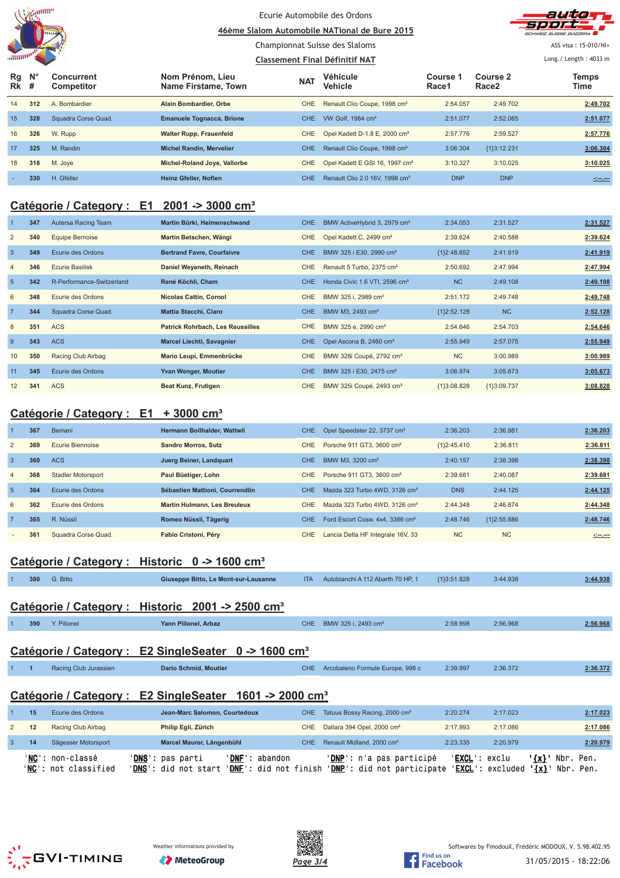

### Ecurie Automobile des Ordons

**<u>A6ème Slalom Automobile NATional de Bure 2015</u>** Championnat Suisse des Slaloms



ASS visa: 15-010/NI+

#### **Classement Final Définitif NAT** Long./ Length: 4033 m **Rg Rk N° # Concurrent Competitor Nom Prénom, Lieu Name Firstame, Town Véhicule Vehicle Course 1 Race1 Course 2 Race2 Temps NAT Vehicle The Course Figure 2 The Vehicle The Race 2 Time** 14 **312** A. Bombardier **Alain Bombardier, Orbe** CHE Renault Clio Coupe, 1998 cm³ 2:54.057 2:49.702 **2:49.702** 15 **328** Squadra Corse Quad. **Emanuele Tognacca, Brione** CHE VW Golf, 1984 cm<sup>3</sup> 2:51.077 2:52.065 2:51.077 2:52.065 16 **326** W. Rupp **Walter Rupp, Frauenfeld** CHE Opel Kadett D-1.8 E, 2000 cm<sup>3</sup> 2:57.776 2:59.527 2:57.776 2:57.776 17 **325** M. Randin **Michel Randin, Mervelier** CHE Renault Clio Coupe, 1998 cm³ 3:06.304 {1}3:12.231 **3:06.304** 18 **318** M. Joye **Michel-Roland Joye, Vallorbe** CHE Opel Kadett E GSI 16, 1997 cm³ 3:10.327 3:10.025 **3:10.025** - **330** H. Gfeller **Heinz Gfeller, Noflen** CHE Renault Clio 2.0 16V, 1998 cm³ DNP DNP **-:--.---**

## **Catégorie / Category : E1 2001 -> 3000 cm³**

|                | 347 | Autersa Racing Team       | Martin Bürki, Heimenschwand             | CHE.       | BMW ActiveHybrid 3, 2979 cm <sup>3</sup>  | 2:34.053      | 2:31.527      | 2:31.527 |
|----------------|-----|---------------------------|-----------------------------------------|------------|-------------------------------------------|---------------|---------------|----------|
| $\overline{2}$ | 340 | Equipe Bernoise           | Martin Betschen, Wängi                  | <b>CHE</b> | Opel Kadett C, 2499 cm <sup>3</sup>       | 2:39.624      | 2:40.588      | 2:39.624 |
| $\overline{3}$ | 349 | Ecurie des Ordons         | <b>Bertrand Favre, Courfaivre</b>       | CHE.       | BMW 325 i E30, 2990 cm <sup>3</sup>       | ${1}2:48.652$ | 2:41.919      | 2:41.919 |
| 4              | 346 | <b>Ecurie Basilisk</b>    | Daniel Weyeneth, Reinach                | CHE        | Renault 5 Turbo, 2375 cm <sup>3</sup>     | 2:50.692      | 2:47.994      | 2:47.994 |
| $5\phantom{1}$ | 342 | R-Performance-Switzerland | René Köchli, Cham                       | CHE        | Honda Civic 1.6 VTI, 2596 cm <sup>3</sup> | <b>NC</b>     | 2:49.108      | 2:49.108 |
| 6              | 348 | Ecurie des Ordons         | <b>Nicolas Cattin, Cornol</b>           | <b>CHE</b> | BMW 325 i, 2989 cm <sup>3</sup>           | 2:51.172      | 2:49.748      | 2:49.748 |
| $\overline{7}$ | 344 | Squadra Corse Quad.       | <b>Mattia Stacchi, Claro</b>            | CHE.       | BMW M3, 2493 cm <sup>3</sup>              | ${1}2:52.128$ | <b>NC</b>     | 2:52.128 |
| 8              | 351 | <b>ACS</b>                | <b>Patrick Rohrbach, Les Reussilles</b> | <b>CHE</b> | BMW 325 e, 2990 cm <sup>3</sup>           | 2:54.646      | 2:54.703      | 2:54.646 |
| 9              | 343 | <b>ACS</b>                | <b>Marcel Liechti, Savagnier</b>        | CHE.       | Opel Ascona B, 2460 cm <sup>3</sup>       | 2:55.949      | 2:57.075      | 2:55.949 |
| 10             | 350 | Racing Club Airbag        | Mario Leupi, Emmenbrücke                | CHE        | BMW 328i Coupé, 2792 cm <sup>3</sup>      | <b>NC</b>     | 3:00.989      | 3:00.989 |
| 11             | 345 | Ecurie des Ordons         | Yvan Wenger, Moutier                    | CHE        | BMW 325 i E30, 2475 cm <sup>3</sup>       | 3:06.974      | 3:05.673      | 3:05.673 |
| 12             | 341 | <b>ACS</b>                | Beat Kunz, Frutigen                     | CHE        | BMW 325i Coupé, 2493 cm <sup>3</sup>      | ${1}3:08.828$ | ${1}3:09.737$ | 3:08.828 |

## **Catégorie / Category : E1 + 3000 cm³**

|                | 367 | Bemani                    | <b>Hermann Bollhalder, Wattwill</b> | CHE.       | Opel Speedster 22, 3737 cm <sup>3</sup>     | 2:36.203      | 2:36.981      | 2:36.203     |
|----------------|-----|---------------------------|-------------------------------------|------------|---------------------------------------------|---------------|---------------|--------------|
| $\overline{2}$ | 369 | Ecurie Biennoise          | <b>Sandro Morros, Sutz</b>          | CHE.       | Porsche 911 GT3, 3600 cm <sup>3</sup>       | ${12:45.410}$ | 2:36.811      | 2:36.811     |
| $\overline{3}$ | 360 | <b>ACS</b>                | Juerg Beiner, Landquart             | CHE.       | BMW M3, 3200 cm <sup>3</sup>                | 2:40.157      | 2:38.398      | 2:38.398     |
| $\overline{4}$ | 368 | <b>Stadler Motorsport</b> | Paul Büetiger, Lohn                 | CHE.       | Porsche 911 GT3, 3600 cm <sup>3</sup>       | 2:39.681      | 2:40.087      | 2:39.681     |
| -5             | 364 | Ecurie des Ordons         | Sébastien Mattioni, Courrendlin     | <b>CHE</b> | Mazda 323 Turbo 4WD, 3126 cm <sup>3</sup>   | <b>DNS</b>    | 2:44.125      | 2:44.125     |
| 6              | 362 | Ecurie des Ordons         | <b>Martin Hulmann, Les Breuleux</b> | CHE.       | Mazda 323 Turbo 4WD, 3126 cm <sup>3</sup>   | 2:44.348      | 2:46.874      | 2:44.348     |
| $7^{\circ}$    | 365 | R. Nüssli                 | Romeo Nüssli, Tägerig               | CHE.       | Ford Escort Cosw. 4x4, 3386 cm <sup>3</sup> | 2:48.746      | ${1}2:55.886$ | 2:48.746     |
|                | 361 | Squadra Corse Quad.       | Fabio Cristoni, Péry                | <b>CHE</b> | Lancia Delta HF Integrale 16V, 33           | NC            | <b>NC</b>     | $-1 - 1 - 1$ |

### **Catégorie / Category : Historic 0 -> 1600 cm³**

|                | 380                                                              | G. Bitto              | Giuseppe Bitto, Le Mont-sur-Lausanne                                | <b>ITA</b> | Autobianchi A 112 Abarth 70 HP. 1         | ${13:51.828}$ | 3:44.938 | 3:44.938 |  |  |
|----------------|------------------------------------------------------------------|-----------------------|---------------------------------------------------------------------|------------|-------------------------------------------|---------------|----------|----------|--|--|
|                |                                                                  |                       |                                                                     |            |                                           |               |          |          |  |  |
|                |                                                                  |                       | Catégorie / Category : Historic 2001 -> 2500 cm <sup>3</sup>        |            |                                           |               |          |          |  |  |
|                | 390                                                              | Y. Pillonel           | Yann Pillonel, Arbaz                                                | CHE.       | BMW 325 i, 2493 cm <sup>3</sup>           | 2:58.998      | 2:56.968 | 2:56.968 |  |  |
|                |                                                                  |                       |                                                                     |            |                                           |               |          |          |  |  |
|                | Catégorie / Category : E2 SingleSeater 0 -> 1600 cm <sup>3</sup> |                       |                                                                     |            |                                           |               |          |          |  |  |
|                |                                                                  | Racing Club Jurassien | <b>Dario Schmid, Moutier</b>                                        | CHE.       | Arcobaleno Formule Europe, 998 c          | 2:39.997      | 2:36.372 | 2:36.372 |  |  |
|                |                                                                  |                       |                                                                     |            |                                           |               |          |          |  |  |
|                |                                                                  |                       | Catégorie / Category : E2 SingleSeater 1601 -> 2000 cm <sup>3</sup> |            |                                           |               |          |          |  |  |
|                | 15                                                               | Ecurie des Ordons     | Jean-Marc Salomon, Courtedoux                                       | CHE.       | Tatuus Bossy Racing, 2000 cm <sup>3</sup> | 2:20.274      | 2:17.023 | 2:17.023 |  |  |
| 2              | 12                                                               | Racing Club Airbag    | Philip Egli, Zürich                                                 | <b>CHE</b> | Dallara 394 Opel, 2000 cm <sup>3</sup>    | 2:17.993      | 2:17.086 | 2:17.086 |  |  |
| $\overline{3}$ | 14                                                               | Sägesser Motorsport   | Marcel Maurer, Längenbühl                                           | CHE.       | Renault Midland, 2000 cm <sup>3</sup>     | 2:23.335      | 2:20.979 | 2:20.979 |  |  |









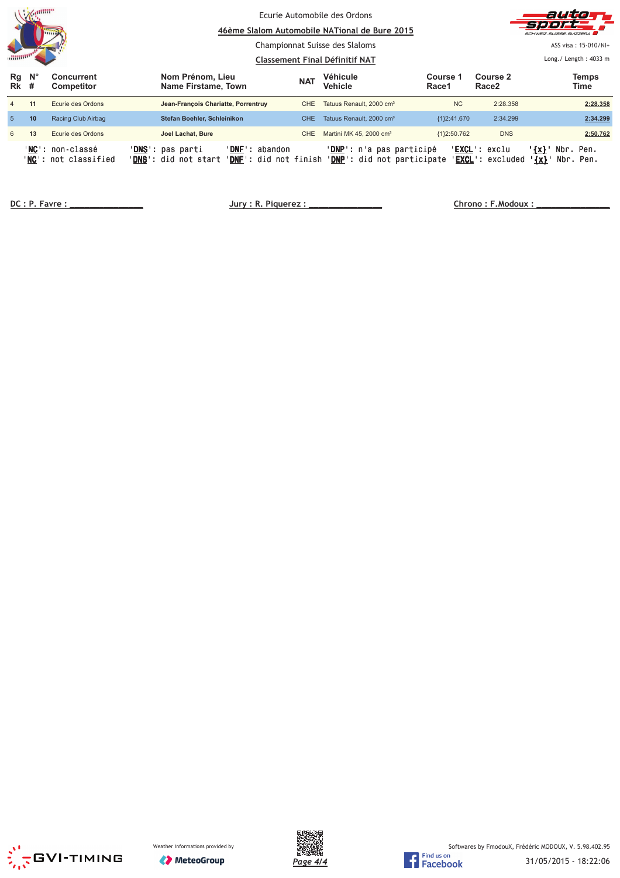| <b>CONSUMP</b>  |                  |                                          | Ecurie Automobile des Ordons<br>46ème Slalom Automobile NATional de Bure 2015<br>Championnat Suisse des Slaloms<br><b>Classement Final Définitif NAT</b> |                         |            |                                                                                               |                   | 72 O L<br>SCHWEIZ SUISSE SVIZZERA<br>ASS visa: 15-010/NI+<br>Long. / Length: $4033$ m |                                                |  |
|-----------------|------------------|------------------------------------------|----------------------------------------------------------------------------------------------------------------------------------------------------------|-------------------------|------------|-----------------------------------------------------------------------------------------------|-------------------|---------------------------------------------------------------------------------------|------------------------------------------------|--|
| Rg<br><b>Rk</b> | $N^{\circ}$<br># | <b>Concurrent</b><br><b>Competitor</b>   | Nom Prénom, Lieu<br>Name Firstame, Town                                                                                                                  |                         | <b>NAT</b> | <b>Véhicule</b><br>Vehicle                                                                    | Course 1<br>Race1 | Course 2<br>Race <sub>2</sub>                                                         | <b>Temps</b><br>Time                           |  |
|                 | 11               | Ecurie des Ordons                        | Jean-François Chariatte, Porrentruy                                                                                                                      |                         | CHE        | Tatuus Renault, 2000 cm <sup>3</sup>                                                          | <b>NC</b>         | 2:28.358                                                                              | 2:28.358                                       |  |
| 5               | 10               | Racing Club Airbag                       | Stefan Boehler, Schleinikon                                                                                                                              |                         | CHE.       | Tatuus Renault, 2000 cm <sup>3</sup>                                                          | ${1}2:41.670$     | 2:34.299                                                                              | 2:34.299                                       |  |
| 6               | 13               | Ecurie des Ordons                        | Joel Lachat, Bure                                                                                                                                        |                         | CHE        | Martini MK 45, 2000 cm <sup>3</sup>                                                           | ${1}2:50.762$     | <b>DNS</b>                                                                            | 2:50.762                                       |  |
|                 |                  | 'NC': non-classé<br>'NC': not classified | ' <b>DNS':</b> pas parti<br>' <b>DNS</b> ': did not start                                                                                                | ' <b>DNF</b> ': abandon |            | 'DNP': n'a pas participé<br>'DNF': did not finish 'DNP': did not participate 'EXCL': excluded |                   | ' <b>EXCL</b> ': exclu                                                                | $\{x\}$<br>Nbr. Pen.<br>Nbr. Pen.<br>$\{x\}$ ' |  |

 **!" # \$\$\$\$\$\$\$\$\$\$\$\$\$\$\$ %& '"!() \$\$\$\$\$\$\$\$\$\$\$\$\$\$\$ \*** 

 **"+ , \$\$\$\$\$\$\$\$\$\$\$\$\$\$\$**





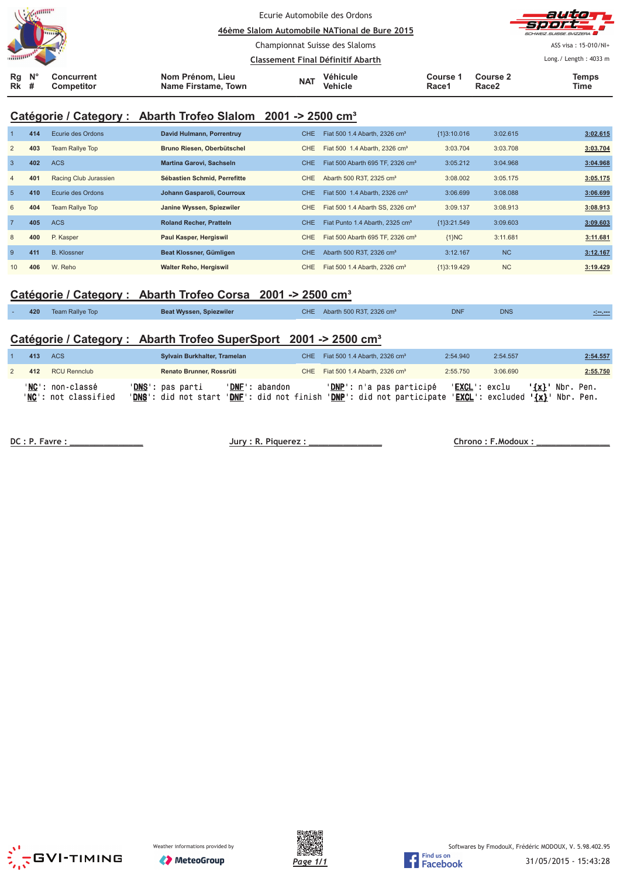| $\mathcal{A}$ . The difference<br><b>Lima</b> |                                        |                                         | Ecurie Automobile des Ordons<br>46ème Slalom Automobile NATional de Bure 2015 |                     |                   |                               | autowy<br><b>Sport,</b><br>SCHWEIZ.SUISSE.SVIZZERA |
|-----------------------------------------------|----------------------------------------|-----------------------------------------|-------------------------------------------------------------------------------|---------------------|-------------------|-------------------------------|----------------------------------------------------|
|                                               |                                        |                                         | Championnat Suisse des Slaloms                                                |                     |                   |                               | ASS visa: 15-010/NI+                               |
|                                               |                                        |                                         | Classement Final Définitif Abarth                                             |                     |                   |                               | Long./ Length: 4033 m                              |
| $\mathsf{N}^\circ$<br>Rg<br><b>Rk</b><br>#    | <b>Concurrent</b><br><b>Competitor</b> | Nom Prénom, Lieu<br>Name Firstame, Town | <b>NAT</b>                                                                    | Véhicule<br>Vehicle | Course '<br>Race1 | Course 2<br>Race <sub>2</sub> | Temps<br>Time                                      |

## **Catégorie / Category : Abarth Trofeo Slalom 2001 -> 2500 cm³**

|                | 414 | Ecurie des Ordons      | David Hulmann, Porrentruy      | <b>CHE</b> | Fiat 500 1.4 Abarth, 2326 cm <sup>3</sup>    | ${13:10.016}$ | 3:02.615  | 3:02.615 |
|----------------|-----|------------------------|--------------------------------|------------|----------------------------------------------|---------------|-----------|----------|
| 2              | 403 | <b>Team Rallye Top</b> | Bruno Riesen, Oberbütschel     | <b>CHE</b> | Fiat 500 1.4 Abarth, 2326 cm <sup>3</sup>    | 3:03.704      | 3:03.708  | 3:03.704 |
| $\overline{3}$ | 402 | <b>ACS</b>             | Martina Garovi, Sachseln       | <b>CHE</b> | Fiat 500 Abarth 695 TF, 2326 cm <sup>3</sup> | 3:05.212      | 3:04.968  | 3:04.968 |
| $\overline{4}$ | 401 | Racing Club Jurassien  | Sébastien Schmid, Perrefitte   | CHE        | Abarth 500 R3T, 2325 cm <sup>3</sup>         | 3:08.002      | 3:05.175  | 3:05.175 |
| 5              | 410 | Ecurie des Ordons      | Johann Gasparoli, Courroux     | <b>CHE</b> | Fiat 500 1.4 Abarth, 2326 cm <sup>3</sup>    | 3:06.699      | 3:08.088  | 3:06.699 |
| 6              | 404 | <b>Team Rallye Top</b> | Janine Wyssen, Spiezwiler      | <b>CHE</b> | Fiat 500 1.4 Abarth SS, 2326 cm <sup>3</sup> | 3:09.137      | 3:08.913  | 3:08.913 |
| $\overline{7}$ | 405 | <b>ACS</b>             | <b>Roland Recher, Pratteln</b> | <b>CHE</b> | Fiat Punto 1.4 Abarth, 2325 cm <sup>3</sup>  | {1}3:21.549   | 3:09.603  | 3:09.603 |
| 8              | 400 | P. Kasper              | Paul Kasper, Hergiswil         | <b>CHE</b> | Fiat 500 Abarth 695 TF, 2326 cm <sup>3</sup> | ${1}NC$       | 3:11.681  | 3:11.681 |
| 9              | 411 | <b>B.</b> Klossner     | Beat Klossner, Gümligen        | CHE.       | Abarth 500 R3T, 2326 cm <sup>3</sup>         | 3:12.167      | <b>NC</b> | 3:12.167 |
| 10             | 406 | W. Reho                | <b>Walter Reho, Hergiswil</b>  | CHE        | Fiat 500 1.4 Abarth, 2326 cm <sup>3</sup>    | ${13:19.429}$ | <b>NC</b> | 3:19.429 |

## **Catégorie / Category : Abarth Trofeo Corsa 2001 -> 2500 cm³**

| 420 | Team Rallve Top | Beat Wyssen, Spiezwiler | CHE <sup>1</sup> | Abarth 500 R3T, 2326 cm <sup>3</sup> | <b>DNF</b> | <b>DNS</b> |  |
|-----|-----------------|-------------------------|------------------|--------------------------------------|------------|------------|--|
|     |                 |                         |                  |                                      |            |            |  |

## **Catégorie / Category : Abarth Trofeo SuperSport 2001 -> 2500 cm³**

| 413 | ACS                                                       | Sylvain Burkhalter, Tramelan                                            |                | CHE Fiat 500 1.4 Abarth, 2326 cm <sup>3</sup>                                                          | 2:54.940               | 2:54.557 | 2:54.557          |
|-----|-----------------------------------------------------------|-------------------------------------------------------------------------|----------------|--------------------------------------------------------------------------------------------------------|------------------------|----------|-------------------|
| 412 | <b>RCU Rennclub</b>                                       | Renato Brunner, Rossrüti                                                |                | CHE Fiat 500 1.4 Abarth, 2326 cm <sup>3</sup>                                                          | 2:55.750               | 3:06.690 | 2:55.750          |
|     | ' <b>NC</b> ': non-classé<br>' <b>NC':</b> not classified | ' <b>DNS</b> ': pas parti<br>'DNS': did not start 'DNF': did not finish | 'DNF': abandon | ' <b>DNP</b> ': n'a pas participé<br>'DNP': did not participate 'EXCL': excluded ' $\{x\}$ ' Nbr. Pen. | ' <b>EXCL</b> ': exclu |          | $\{x\}$ Nbr. Pen. |

**!"# \$!%%%%%%%%%%%%%%% &'!(#")\*!%%%%%%%%%%%%%%%** 

 **!#+ ,!%%%%%%%%%%%%%%%**





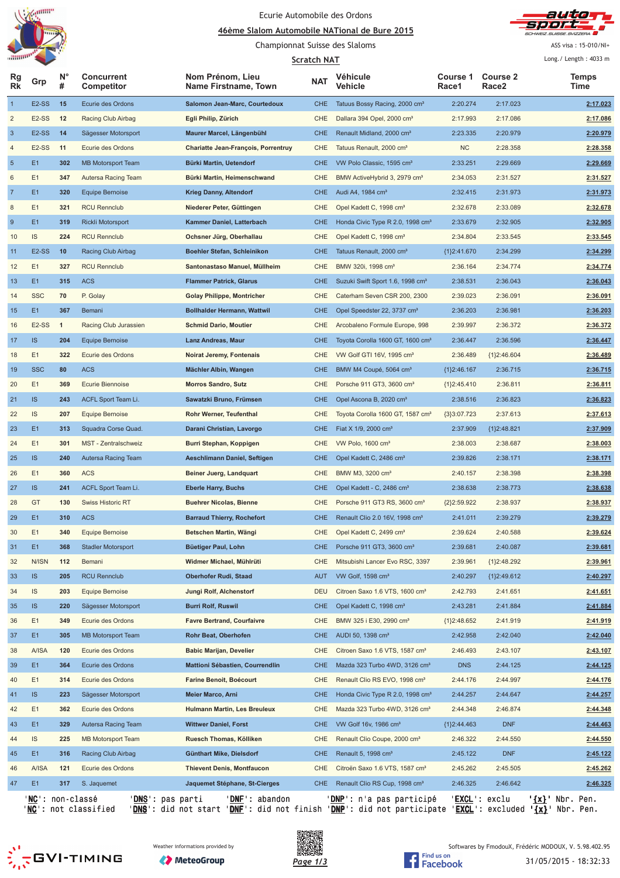

### Ecurie Automobile des Ordons

#### **<u>A6ème Slalom Automobile NATional de Bure 2015</u>**



ASS visa: 15-010/NI+

#### Championnat Suisse des Slaloms **Scratch NAT**

|                         |                           |                  |                                       |                                          | <b>Scratch NAT</b> |                                              |                   |                          | Long./ Length: 4033 m    |
|-------------------------|---------------------------|------------------|---------------------------------------|------------------------------------------|--------------------|----------------------------------------------|-------------------|--------------------------|--------------------------|
| Rg<br><b>Rk</b>         | Grp                       | $N^{\circ}$<br># | <b>Concurrent</b><br>Competitor       | Nom Prénom, Lieu<br>Name Firstname, Town | <b>NAT</b>         | <b>Véhicule</b><br>Vehicle                   | Course 1<br>Race1 | <b>Course 2</b><br>Race2 | Temps<br>Time            |
| $\mathbf{1}$            | E <sub>2</sub> -SS        | 15               | Ecurie des Ordons                     | Salomon Jean-Marc, Courtedoux            | <b>CHE</b>         | Tatuus Bossy Racing, 2000 cm <sup>3</sup>    | 2:20.274          | 2:17.023                 | 2:17.023                 |
| $\overline{\mathbf{c}}$ | E <sub>2</sub> -SS        | 12               | Racing Club Airbag                    | Egli Philip, Zürich                      | <b>CHE</b>         | Dallara 394 Opel, 2000 cm <sup>3</sup>       | 2:17.993          | 2:17.086                 | 2:17.086                 |
| $\mathbf{3}$            | E <sub>2</sub> -SS        | 14               | Sägesser Motorsport                   | Maurer Marcel, Längenbühl                | <b>CHE</b>         | Renault Midland, 2000 cm <sup>3</sup>        | 2:23.335          | 2:20.979                 | 2:20.979                 |
| 4                       | E <sub>2</sub> -SS        | 11               | Ecurie des Ordons                     | Chariatte Jean-François, Porrentruy      | CHE                | Tatuus Renault, 2000 cm <sup>3</sup>         | NC                | 2:28.358                 | 2:28.358                 |
| $\overline{5}$          | E <sub>1</sub>            | 302              | <b>MB Motorsport Team</b>             | Bürki Martin, Uetendorf                  | <b>CHE</b>         | VW Polo Classic, 1595 cm <sup>3</sup>        | 2:33.251          | 2:29.669                 | 2:29.669                 |
| 6                       | E1                        | 347              | Autersa Racing Team                   | Bürki Martin, Heimenschwand              | CHE                | BMW ActiveHybrid 3, 2979 cm <sup>3</sup>     | 2:34.053          | 2:31.527                 | 2:31.527                 |
| $\overline{7}$          | E <sub>1</sub>            | 320              | <b>Equipe Bernoise</b>                | <b>Krieg Danny, Altendorf</b>            | <b>CHE</b>         | Audi A4, 1984 cm <sup>3</sup>                | 2:32.415          | 2:31.973                 | 2:31.973                 |
| 8                       | E1                        | 321              | <b>RCU Rennclub</b>                   | Niederer Peter, Güttingen                | <b>CHE</b>         | Opel Kadett C, 1998 cm <sup>3</sup>          | 2:32.678          | 2:33.089                 | 2:32.678                 |
| $9\,$                   | E <sub>1</sub>            | 319              | Rickli Motorsport                     | Kammer Daniel, Latterbach                | <b>CHE</b>         | Honda Civic Type R 2.0, 1998 cm <sup>3</sup> | 2:33.679          | 2:32.905                 | 2:32.905                 |
| 10                      | IS                        | 224              | <b>RCU Rennclub</b>                   | Ochsner Jürg, Oberhallau                 | CHE                | Opel Kadett C, 1998 cm <sup>3</sup>          | 2:34.804          | 2:33.545                 | 2:33.545                 |
| 11                      | E <sub>2</sub> -SS        | 10               | Racing Club Airbag                    | Boehler Stefan, Schleinikon              | <b>CHE</b>         | Tatuus Renault, 2000 cm <sup>3</sup>         | ${1}2:41.670$     | 2:34.299                 | 2:34.299                 |
| 12                      | E1                        | 327              | <b>RCU Rennclub</b>                   | Santonastaso Manuel, Müllheim            | <b>CHE</b>         | BMW 320i, 1998 cm <sup>3</sup>               | 2:36.164          | 2:34.774                 | 2:34.774                 |
| 13                      | E <sub>1</sub>            | 315              | <b>ACS</b>                            | <b>Flammer Patrick, Glarus</b>           | <b>CHE</b>         | Suzuki Swift Sport 1.6, 1998 cm <sup>3</sup> | 2:38.531          | 2:36.043                 | 2:36.043                 |
| 14                      | <b>SSC</b>                | 70               | P. Golay                              | <b>Golay Philippe, Montricher</b>        | <b>CHE</b>         | Caterham Seven CSR 200, 2300                 | 2:39.023          | 2:36.091                 | 2:36.091                 |
| 15                      | E <sub>1</sub>            | 367              | Bemani                                | <b>Bollhalder Hermann, Wattwil</b>       | <b>CHE</b>         | Opel Speedster 22, 3737 cm <sup>3</sup>      | 2:36.203          | 2:36.981                 | 2:36.203                 |
| 16                      | E <sub>2</sub> -SS        | $\overline{1}$   | Racing Club Jurassien                 | <b>Schmid Dario, Moutier</b>             | <b>CHE</b>         | Arcobaleno Formule Europe, 998               | 2:39.997          | 2:36.372                 | 2:36.372                 |
| 17                      | IS                        | 204              | <b>Equipe Bernoise</b>                | <b>Lanz Andreas, Maur</b>                | <b>CHE</b>         | Toyota Corolla 1600 GT, 1600 cm <sup>3</sup> | 2:36.447          | 2:36.596                 | 2:36.447                 |
| 18                      | E1                        | 322              | Ecurie des Ordons                     | Noirat Jeremy, Fontenais                 | CHE                | VW Golf GTI 16V, 1995 cm <sup>3</sup>        | 2:36.489          | ${1}2:46.604$            | 2:36.489                 |
|                         | <b>SSC</b>                |                  |                                       |                                          |                    |                                              |                   |                          |                          |
| 19                      | E1                        | 80               | <b>ACS</b><br><b>Ecurie Biennoise</b> | Mächler Albin, Wangen                    | <b>CHE</b>         | BMW M4 Coupé, 5064 cm <sup>3</sup>           | ${1}2:46.167$     | 2:36.715                 | 2:36.715                 |
| 20                      |                           | 369              |                                       | <b>Morros Sandro, Sutz</b>               | <b>CHE</b>         | Porsche 911 GT3, 3600 cm <sup>3</sup>        | ${1}2:45.410$     | 2:36.811                 | 2:36.811                 |
| 21                      | IS                        | 243              | ACFL Sport Team Li.                   | Sawatzki Bruno, Frümsen                  | <b>CHE</b>         | Opel Ascona B, 2020 cm <sup>3</sup>          | 2:38.516          | 2:36.823                 | 2:36.823                 |
| 22                      | <b>IS</b>                 | 207              | Equipe Bernoise                       | Rohr Werner, Teufenthal                  | <b>CHE</b>         | Toyota Corolla 1600 GT, 1587 cm <sup>3</sup> | ${3}3:07.723$     | 2:37.613                 | 2:37.613                 |
| 23                      | E <sub>1</sub>            | 313              | Squadra Corse Quad.                   | Darani Christian, Lavorgo                | <b>CHE</b>         | Fiat X 1/9, 2000 cm <sup>3</sup>             | 2:37.909          | ${1}2:48.821$            | 2:37.909                 |
| 24                      | E1                        | 301              | MST - Zentralschweiz                  | Burri Stephan, Koppigen                  | CHE                | VW Polo, 1600 cm <sup>3</sup>                | 2:38.003          | 2:38.687                 | 2:38.003                 |
| 25                      | IS                        | 240              | Autersa Racing Team                   | Aeschlimann Daniel, Seftigen             | <b>CHE</b>         | Opel Kadett C, 2486 cm <sup>3</sup>          | 2:39.826          | 2:38.171                 | 2:38.171                 |
| 26                      | E1                        | 360              | <b>ACS</b>                            | Beiner Juerg, Landquart                  | <b>CHE</b>         | BMW M3, 3200 cm <sup>3</sup>                 | 2:40.157          | 2:38.398                 | 2:38.398                 |
| 27                      | IS                        | 241              | ACFL Sport Team Li.                   | <b>Eberle Harry, Buchs</b>               | <b>CHE</b>         | Opel Kadett - C, 2486 cm <sup>3</sup>        | 2:38.638          | 2:38.773                 | 2:38.638                 |
| 28                      | GT                        | 130              | <b>Swiss Historic RT</b>              | <b>Buehrer Nicolas, Bienne</b>           | <b>CHE</b>         | Porsche 911 GT3 RS, 3600 cm <sup>3</sup>     | ${2}2:59.922$     | 2:38.937                 | 2:38.937                 |
| 29                      | E1                        | 310              | <b>ACS</b>                            | <b>Barraud Thierry, Rochefort</b>        | <b>CHE</b>         | Renault Clio 2.0 16V, 1998 cm <sup>3</sup>   | 2:41.011          | 2:39.279                 | 2:39.279                 |
| 30                      | E1                        | 340              | <b>Equipe Bernoise</b>                | Betschen Martin, Wängi                   | <b>CHE</b>         | Opel Kadett C, 2499 cm <sup>3</sup>          | 2:39.624          | 2:40.588                 | 2:39.624                 |
| 31                      | E1                        | 368              | <b>Stadler Motorsport</b>             | Büetiger Paul, Lohn                      | <b>CHE</b>         | Porsche 911 GT3, 3600 cm <sup>3</sup>        | 2:39.681          | 2:40.087                 | 2:39.681                 |
| 32                      | N/ISN                     | 112              | Bemani                                | Widmer Michael, Mühlrüti                 | CHE                | Mitsubishi Lancer Evo RSC, 3397              | 2:39.961          | ${1}2:48.292$            | 2:39.961                 |
| 33                      | IS                        | 205              | <b>RCU Rennclub</b>                   | <b>Oberhofer Rudi, Staad</b>             | <b>AUT</b>         | VW Golf, 1598 cm <sup>3</sup>                | 2:40.297          | ${1}2:49.612$            | 2:40.297                 |
| 34                      | IS.                       | 203              | Equipe Bernoise                       | Jungi Rolf, Alchenstorf                  | <b>DEU</b>         | Citroen Saxo 1.6 VTS, 1600 cm <sup>3</sup>   | 2:42.793          | 2:41.651                 | 2:41.651                 |
| 35                      | IS                        | 220              | Sägesser Motorsport                   | <b>Burri Rolf, Ruswil</b>                | <b>CHE</b>         | Opel Kadett C, 1998 cm <sup>3</sup>          | 2:43.281          | 2:41.884                 | 2:41.884                 |
| 36                      | E1                        | 349              | Ecurie des Ordons                     | <b>Favre Bertrand, Courfaivre</b>        | <b>CHE</b>         | BMW 325 i E30, 2990 cm <sup>3</sup>          | ${1}2:48.652$     | 2:41.919                 | 2:41.919                 |
| 37                      | E1                        | 305              | <b>MB Motorsport Team</b>             | Rohr Beat, Oberhofen                     | <b>CHE</b>         | AUDI 50, 1398 cm <sup>3</sup>                | 2:42.958          | 2:42.040                 | 2:42.040                 |
| 38                      | A/ISA                     | 120              | Ecurie des Ordons                     | <b>Babic Marijan, Develier</b>           | <b>CHE</b>         | Citroen Saxo 1.6 VTS, 1587 cm <sup>3</sup>   | 2:46.493          | 2:43.107                 | 2:43.107                 |
| 39                      | E1                        | 364              | Ecurie des Ordons                     | Mattioni Sébastien, Courrendlin          | <b>CHE</b>         | Mazda 323 Turbo 4WD, 3126 cm <sup>3</sup>    | <b>DNS</b>        | 2:44.125                 | 2:44.125                 |
| 40                      | E1                        | 314              | Ecurie des Ordons                     | Farine Benoit, Boécourt                  | CHE                | Renault Clio RS EVO, 1998 cm <sup>3</sup>    | 2:44.176          | 2:44.997                 | 2:44.176                 |
| 41                      | IS                        | 223              | Sägesser Motorsport                   | Meier Marco, Arni                        | <b>CHE</b>         | Honda Civic Type R 2.0, 1998 cm <sup>3</sup> | 2:44.257          | 2:44.647                 | 2:44.257                 |
| 42                      | E1                        | 362              | Ecurie des Ordons                     | Hulmann Martin, Les Breuleux             | <b>CHE</b>         | Mazda 323 Turbo 4WD, 3126 cm <sup>3</sup>    | 2:44.348          | 2:46.874                 | 2:44.348                 |
| 43                      | E1                        | 329              | Autersa Racing Team                   | <b>Wittwer Daniel, Forst</b>             | <b>CHE</b>         | VW Golf 16v, 1986 cm <sup>3</sup>            | ${1}2:44.463$     | <b>DNF</b>               | 2:44.463                 |
| 44                      | IS.                       | 225              | <b>MB Motorsport Team</b>             | Ruesch Thomas, Kölliken                  | <b>CHE</b>         | Renault Clio Coupe, 2000 cm <sup>3</sup>     | 2:46.322          | 2:44.550                 | 2:44.550                 |
| 45                      | E1                        | 316              | Racing Club Airbag                    | Günthart Mike, Dielsdorf                 | <b>CHE</b>         | Renault 5, 1998 cm <sup>3</sup>              | 2:45.122          | <b>DNF</b>               | 2:45.122                 |
| 46                      | A/ISA                     | 121              | Ecurie des Ordons                     | <b>Thievent Denis, Montfaucon</b>        | CHE                | Citroën Saxo 1.6 VTS, 1587 cm <sup>3</sup>   | 2:45.262          | 2:45.505                 | 2:45.262                 |
| 47                      | E1                        | 317              | S. Jaquemet                           | Jaquemet Stéphane, St-Cierges            | <b>CHE</b>         | Renault Clio RS Cup, 1998 cm <sup>3</sup>    | 2:46.325          | 2:46.642                 | 2:46.325                 |
|                         | ' <b>NC</b> ': non-classé |                  | ' <mark>DNS</mark> ': pas parti       | ' <u>DNF</u> ': abandon                  |                    | ' <u>DNP</u> ': n'a pas participé            |                   | 'EXCL': exclu            | ' <u>{x}</u> ' Nbr. Pen. |

'<u>NC</u>': not classified '<u>DNS</u>': did not start '<u>DNF</u>': did not finish '<u>DNP</u>': did not participate '<u>EXCL</u>': excluded '<u>{x}</u>' Nbr. Pen.







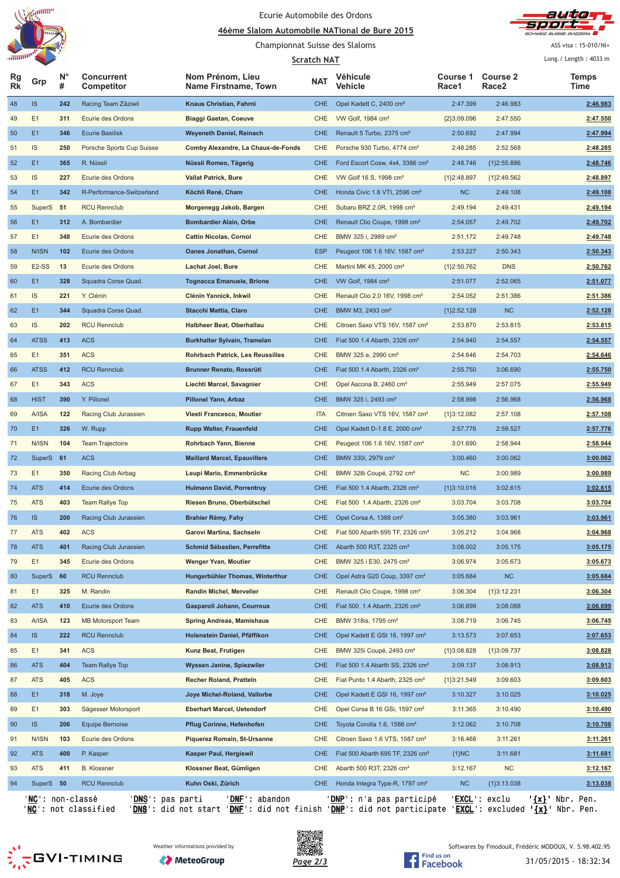

### Ecurie Automobile des Ordons

#### **<u>A6ème Slalom Automobile NATional de Bure 2015</u>**



ASS visa: 15-010/NI+

### Championnat Suisse des Slaloms

| """"""""""      |               |                  |                                 | Scratch NAT                              | Long./ Length: 4033 m |                                              |                          |                          |               |
|-----------------|---------------|------------------|---------------------------------|------------------------------------------|-----------------------|----------------------------------------------|--------------------------|--------------------------|---------------|
| Rg<br><b>Rk</b> | Grp           | $N^{\circ}$<br># | <b>Concurrent</b><br>Competitor | Nom Prénom, Lieu<br>Name Firstname, Town | <b>NAT</b>            | Véhicule<br>Vehicle                          | <b>Course 1</b><br>Race1 | <b>Course 2</b><br>Race2 | Temps<br>Time |
| 48              | <b>IS</b>     | 242              | Racing Team Zäziwil             | Knaus Christian, Fahrni                  | <b>CHE</b>            | Opel Kadett C, 2400 cm <sup>3</sup>          | 2:47.399                 | 2:46.983                 | 2:46.983      |
| 49              | E1            | 311              | Ecurie des Ordons               | <b>Biaggi Gaetan, Coeuve</b>             | <b>CHE</b>            | VW Golf, 1984 cm <sup>3</sup>                | ${2}3:09.096$            | 2:47.550                 | 2:47.550      |
| 50              | E1            | 346              | <b>Ecurie Basilisk</b>          | <b>Weyeneth Daniel, Reinach</b>          | <b>CHE</b>            | Renault 5 Turbo, 2375 cm <sup>3</sup>        | 2:50.692                 | 2:47.994                 | 2:47.994      |
| 51              | IS            | 250              | Porsche Sports Cup Suisse       | Comby Alexandre, La Chaux-de-Fonds       | CHE                   | Porsche 930 Turbo, 4774 cm <sup>3</sup>      | 2:48.285                 | 2:52.568                 | 2:48.285      |
| 52              | E1            | 365              | R. Nüssli                       | Nüssli Romeo, Tägerig                    | <b>CHE</b>            | Ford Escort Cosw. 4x4, 3386 cm <sup>3</sup>  | 2:48.746                 | ${1}2:55.886$            | 2:48.746      |
| 53              | IS            | 227              | Ecurie des Ordons               | <b>Vallat Patrick, Bure</b>              | CHE                   | VW Golf 16 S, 1998 cm <sup>3</sup>           | {1}2:48.897              | ${1}2:49.562$            | 2:48.897      |
| 54              | E1            | 342              | R-Performance-Switzerland       | Köchli René, Cham                        | <b>CHE</b>            | Honda Civic 1.6 VTI, 2596 cm <sup>3</sup>    | NC                       | 2:49.108                 | 2:49.108      |
| 55              | SuperS 51     |                  | <b>RCU Rennclub</b>             | Morgenegg Jakob, Bargen                  | CHE                   | Subaru BRZ 2.0R, 1998 cm <sup>3</sup>        | 2:49.194                 | 2:49.431                 | 2:49.194      |
| 56              | E1            | 312              | A. Bombardier                   | <b>Bombardier Alain, Orbe</b>            | <b>CHE</b>            | Renault Clio Coupe, 1998 cm <sup>3</sup>     | 2:54.057                 | 2:49.702                 | 2:49.702      |
| 57              | E1            | 348              | Ecurie des Ordons               | <b>Cattin Nicolas, Cornol</b>            | CHE                   | BMW 325 i, 2989 cm <sup>3</sup>              | 2:51.172                 | 2:49.748                 | 2:49.748      |
| 58              | N/ISN         | 102              | Ecurie des Ordons               | <b>Oanes Jonathan, Cornol</b>            | <b>ESP</b>            | Peugeot 106 1.6 16V, 1587 cm <sup>3</sup>    | 2:53.227                 | 2:50.343                 | 2:50.343      |
| 59              | E2-SS         | 13               | Ecurie des Ordons               | <b>Lachat Joel, Bure</b>                 | CHE                   | Martini MK 45, 2000 cm <sup>3</sup>          | ${1}2:50.762$            | <b>DNS</b>               | 2:50.762      |
| 60              | E1            | 328              | Squadra Corse Quad.             | Tognacca Emanuele, Brione                | <b>CHE</b>            | VW Golf, 1984 cm <sup>3</sup>                | 2:51.077                 | 2:52.065                 | 2:51.077      |
| 61              | IS            | 221              | Y. Clénin                       | Clénin Yannick, Inkwil                   | CHE                   | Renault Clio 2.0 16V, 1998 cm <sup>3</sup>   | 2:54.052                 | 2:51.386                 | 2:51.386      |
| 62              | E1            | 344              | Squadra Corse Quad.             | <b>Stacchi Mattia, Claro</b>             | <b>CHE</b>            | BMW M3, 2493 cm <sup>3</sup>                 | ${1}2:52.128$            | <b>NC</b>                | 2:52.128      |
| 63              | IS            | 202              | <b>RCU Rennclub</b>             | Halbheer Beat, Oberhallau                | <b>CHE</b>            | Citroen Saxo VTS 16V, 1587 cm <sup>3</sup>   | 2:53.870                 | 2:53.815                 | 2:53.815      |
| 64              | <b>ATSS</b>   | 413              | <b>ACS</b>                      | <b>Burkhalter Sylvain, Tramelan</b>      | <b>CHE</b>            | Fiat 500 1.4 Abarth, 2326 cm <sup>3</sup>    | 2:54.940                 | 2:54.557                 | 2:54.557      |
| 65              | E1            | 351              | <b>ACS</b>                      | <b>Rohrbach Patrick, Les Reussilles</b>  | <b>CHE</b>            | BMW 325 e, 2990 cm <sup>3</sup>              | 2:54.646                 | 2:54.703                 | 2:54.646      |
| 66              | <b>ATSS</b>   | 412              | <b>RCU Rennclub</b>             | <b>Brunner Renato, Rossrüti</b>          | <b>CHE</b>            | Fiat 500 1.4 Abarth, 2326 cm <sup>3</sup>    | 2:55.750                 | 3:06.690                 | 2:55.750      |
| 67              | E1            | 343              | <b>ACS</b>                      | Liechti Marcel, Savagnier                | CHE                   | Opel Ascona B, 2460 cm <sup>3</sup>          | 2:55.949                 | 2:57.075                 | 2:55.949      |
| 68              | <b>HIST</b>   | 390              | Y. Pillonel                     | Pillonel Yann, Arbaz                     | <b>CHE</b>            | BMW 325 i, 2493 cm <sup>3</sup>              | 2:58.998                 | 2:56.968                 | 2:56.968      |
| 69              | A/ISA         | 122              | Racing Club Jurassien           | Viesti Francesco, Moutier                | <b>ITA</b>            | Citroen Saxo VTS 16V, 1587 cm <sup>3</sup>   | ${1}3:12.082$            | 2:57.108                 | 2:57.108      |
| 70              | E1            | 326              | W. Rupp                         | <b>Rupp Walter, Frauenfeld</b>           | <b>CHE</b>            | Opel Kadett D-1.8 E, 2000 cm <sup>3</sup>    | 2:57.776                 | 2:59.527                 | 2:57.776      |
| 71              | N/ISN         | 104              | <b>Team Trajectoire</b>         | Rohrbach Yann, Bienne                    | <b>CHE</b>            | Peugeot 106 1.6 16V, 1587 cm <sup>3</sup>    | 3:01.690                 | 2:58.944                 | 2:58.944      |
| 72              | <b>SuperS</b> | 61               | <b>ACS</b>                      | <b>Maillard Marcel, Epauvillers</b>      | <b>CHE</b>            | BMW 330i, 2979 cm <sup>3</sup>               | 3:00.460                 | 3:00.062                 | 3:00.062      |
| 73              | E1            | 350              | Racing Club Airbag              | Leupi Mario, Emmenbrücke                 | CHE                   | BMW 328i Coupé, 2792 cm <sup>3</sup>         | NC                       | 3:00.989                 | 3:00.989      |
| 74              | <b>ATS</b>    | 414              | Ecurie des Ordons               | <b>Hulmann David, Porrentruy</b>         | <b>CHE</b>            | Fiat 500 1.4 Abarth, 2326 cm <sup>3</sup>    | ${1}3:10.016$            | 3:02.615                 | 3:02.615      |
| 75              | <b>ATS</b>    | 403              | <b>Team Rallye Top</b>          | Riesen Bruno, Oberbütschel               | CHE                   | Fiat 500 1.4 Abarth, 2326 $cm3$              | 3:03.704                 | 3:03.708                 | 3:03.704      |
| 76              | <b>IS</b>     | 200              | Racing Club Jurassien           | <b>Brahier Rémy, Fahy</b>                | CHE                   | Opel Corsa A, 1388 cm <sup>3</sup>           | 3:05.380                 | 3:03.961                 | 3:03.961      |
| 77              | <b>ATS</b>    | 402              | <b>ACS</b>                      | Garovi Martina, Sachseln                 | CHE                   | Fiat 500 Abarth 695 TF, 2326 cm <sup>3</sup> | 3:05.212                 | 3:04.968                 | 3:04.968      |
| 78              | <b>ATS</b>    | 401              | Racing Club Jurassien           | Schmid Sébastien, Perrefitte             | <b>CHE</b>            | Abarth 500 R3T, 2325 cm <sup>3</sup>         | 3:08.002                 | 3:05.175                 | 3:05.175      |
| 79              | E1            | 345              | Ecurie des Ordons               | <b>Wenger Yvan, Moutier</b>              | <b>CHE</b>            | BMW 325 i E30, 2475 cm <sup>3</sup>          | 3:06.974                 | 3:05.673                 | 3:05.673      |
| 80              | SuperS        | 60               | <b>RCU Rennclub</b>             | Hungerbühler Thomas, Winterthur          | <b>CHE</b>            | Opel Astra G20 Coup, 3397 cm <sup>3</sup>    | 3:05.684                 | <b>NC</b>                | 3:05.684      |
| 81              | E1            | 325              | M. Randin                       | Randin Michel, Mervelier                 | CHE                   | Renault Clio Coupe, 1998 cm <sup>3</sup>     | 3:06.304                 | ${1}3:12.231$            | 3:06.304      |
| 82              | <b>ATS</b>    | 410              | Ecurie des Ordons               | Gasparoli Johann, Courroux               | <b>CHE</b>            | Fiat 500 1.4 Abarth, 2326 cm <sup>3</sup>    | 3:06.699                 | 3:08.088                 | 3:06.699      |
| 83              | <b>A/ISA</b>  | 123              | <b>MB Motorsport Team</b>       | <b>Spring Andreas, Mamishaus</b>         | CHE                   | BMW 318is, 1795 cm <sup>3</sup>              | 3:08.719                 | 3:06.745                 | 3:06.745      |
| 84              | <b>IS</b>     | 222              | <b>RCU Rennclub</b>             | Holenstein Daniel, Pfäffikon             | <b>CHE</b>            | Opel Kadett E GSI 16, 1997 cm <sup>3</sup>   | 3:13.573                 | 3:07.653                 | 3:07.653      |
| 85              | E1            | 341              | ACS                             | Kunz Beat, Frutigen                      | <b>CHE</b>            | BMW 325i Coupé, 2493 cm <sup>3</sup>         | ${1}3:08.828$            | ${1}3:09.737$            | 3:08.828      |
| 86              | <b>ATS</b>    | 404              | Team Rallye Top                 | Wyssen Janine, Spiezwiler                | <b>CHE</b>            | Fiat 500 1.4 Abarth SS, 2326 cm <sup>3</sup> | 3:09.137                 | 3:08.913                 | 3:08.913      |
| 87              | <b>ATS</b>    | 405              | <b>ACS</b>                      | <b>Recher Roland, Pratteln</b>           | CHE                   | Fiat Punto 1.4 Abarth, 2325 cm <sup>3</sup>  | ${1}3:21.549$            | 3:09.603                 | 3:09.603      |
| 88              | E1            | 318              | M. Joye                         | Joye Michel-Roland, Vallorbe             | <b>CHE</b>            | Opel Kadett E GSI 16, 1997 cm <sup>3</sup>   | 3:10.327                 | 3:10.025                 | 3:10.025      |
| 89              | E1            | 303              | Sägesser Motorsport             | <b>Eberhart Marcel, Uetendorf</b>        | CHE                   | Opel Corsa B 16 GSi, 1597 cm <sup>3</sup>    | 3:11.365                 | 3:10.490                 | 3:10.490      |
| 90              | <b>IS</b>     | 206              | <b>Equipe Bernoise</b>          | Pflug Corinne, Hefenhofen                | <b>CHE</b>            | Toyota Corolla 1.6, 1586 cm <sup>3</sup>     | 3:12.062                 | 3:10.708                 | 3:10.708      |
| 91              | N/ISN         | 103              | Ecurie des Ordons               | Piquerez Romain, St-Ursanne              | CHE                   | Citroen Saxo 1.6 VTS, 1587 cm <sup>3</sup>   | 3:16.468                 | 3:11.261                 | 3:11.261      |
| 92              | <b>ATS</b>    | 400              | P. Kasper                       | Kasper Paul, Hergiswil                   | <b>CHE</b>            | Fiat 500 Abarth 695 TF, 2326 cm <sup>3</sup> | ${1}NC$                  | 3:11.681                 | 3:11.681      |
| 93              | <b>ATS</b>    | 411              | <b>B.</b> Klossner              | Klossner Beat, Gümligen                  | CHE                   | Abarth 500 R3T, 2326 cm <sup>3</sup>         | 3:12.167                 | <b>NC</b>                | 3:12.167      |
| 94              | SuperS 50     |                  | <b>RCU Rennclub</b>             | Kuhn Oski, Zürich                        | <b>CHE</b>            | Honda Integra Type-R, 1797 cm <sup>3</sup>   | <b>NC</b>                | ${1}3:13.038$            | 3:13.038      |
|                 |               |                  |                                 |                                          |                       |                                              |                          |                          |               |

'<u>NC</u>': non-classé '<u>DNS</u>': pas parti '<u>DNF</u>': abandon '<u>DNP</u>': n'a pas participé '<u>EXCL</u>': exclu '<u>{x}</u>' Nbr. Pen. '<u>NC</u>': not classified '<u>DNS</u>': did not start '<u>DNF</u>': did not finish '<u>DNP</u>': did not participate '<u>EXCL</u>': excluded '<u>{x}</u>' Nbr. Pen.





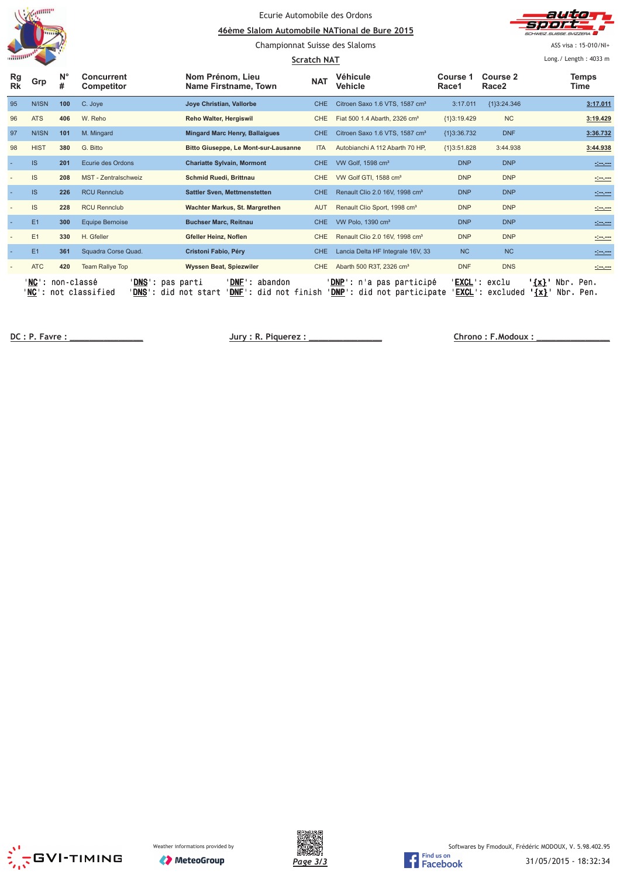|                 |                  |                  |                                    | Ecurie Automobile des Ordons<br>46ème Slalom Automobile NATional de Bure 2015<br>Championnat Suisse des Slaloms<br>Scratch NAT |            |                                                                |                               |                               | auta<br>CHWEIZ SLIISSE SVIZZERA<br>ASS visa: 15-010/NI+<br>Long./ Length: 4033 m |
|-----------------|------------------|------------------|------------------------------------|--------------------------------------------------------------------------------------------------------------------------------|------------|----------------------------------------------------------------|-------------------------------|-------------------------------|----------------------------------------------------------------------------------|
| Rg<br><b>Rk</b> | Grp              | $N^{\circ}$<br># | Concurrent<br><b>Competitor</b>    | Nom Prénom. Lieu<br>Name Firstname, Town                                                                                       | <b>NAT</b> | <b>Véhicule</b><br>Vehicle                                     | Course 1<br>Race1             | Course 2<br>Race <sub>2</sub> | <b>Temps</b><br>Time                                                             |
| 95              | N/ISN            | 100              | C. Joye                            | Joye Christian, Vallorbe                                                                                                       | CHE.       | Citroen Saxo 1.6 VTS, 1587 cm <sup>3</sup>                     | 3:17.011                      | ${1}3:24.346$                 | 3:17.011                                                                         |
| 96              | <b>ATS</b>       | 406              | W. Reho                            | Reho Walter, Hergiswil                                                                                                         | <b>CHE</b> | Fiat 500 1.4 Abarth, 2326 cm <sup>3</sup>                      | {1}3:19.429                   | NC                            | 3:19.429                                                                         |
| 97              | N/ISN            | 101              | M. Mingard                         | <b>Mingard Marc Henry, Ballaigues</b>                                                                                          | <b>CHE</b> | Citroen Saxo 1.6 VTS, 1587 cm <sup>3</sup>                     | ${1}3:36.732$                 | <b>DNF</b>                    | 3:36.732                                                                         |
| 98              | <b>HIST</b>      | 380              | G. Bitto                           | Bitto Giuseppe, Le Mont-sur-Lausanne                                                                                           | <b>ITA</b> | Autobianchi A 112 Abarth 70 HP,                                | {1}3:51.828                   | 3:44.938                      | 3:44.938                                                                         |
|                 | <b>IS</b>        | 201              | Ecurie des Ordons                  | <b>Chariatte Sylvain, Mormont</b>                                                                                              | CHE.       | VW Golf, 1598 cm <sup>3</sup>                                  | <b>DNP</b>                    | <b>DNP</b>                    | <u>desem</u>                                                                     |
|                 | <b>IS</b>        | 208              | MST - Zentralschweiz               | Schmid Ruedi, Brittnau                                                                                                         | <b>CHE</b> | VW Golf GTI, 1588 cm <sup>3</sup>                              | <b>DNP</b>                    | <b>DNP</b>                    | $\frac{1}{2}$ and $\frac{1}{2}$                                                  |
|                 | IS.              | 226              | <b>RCU Rennclub</b>                | <b>Sattler Sven, Mettmenstetten</b>                                                                                            | <b>CHE</b> | Renault Clio 2.0 16V, 1998 cm <sup>3</sup>                     | <b>DNP</b>                    | <b>DNP</b>                    | <u> 1999 - 1999</u>                                                              |
|                 | IS               | 228              | <b>RCU Rennclub</b>                | Wachter Markus, St. Margrethen                                                                                                 | <b>AUT</b> | Renault Clio Sport, 1998 cm <sup>3</sup>                       | <b>DNP</b>                    | <b>DNP</b>                    | $-1 - 1 - 1$                                                                     |
|                 | E1               | 300              | <b>Equipe Bernoise</b>             | <b>Buchser Marc, Reitnau</b>                                                                                                   | CHE.       | VW Polo. 1390 cm <sup>3</sup>                                  | <b>DNP</b>                    | <b>DNP</b>                    | <u>desem</u>                                                                     |
|                 | E1               | 330              | H. Gfeller                         | Gfeller Heinz, Noflen                                                                                                          | <b>CHE</b> | Renault Clio 2.0 16V, 1998 cm <sup>3</sup>                     | <b>DNP</b>                    | <b>DNP</b>                    | $\frac{1}{2}$ and $\frac{1}{2}$                                                  |
|                 | E1               | 361              | Squadra Corse Quad.                | Cristoni Fabio, Péry                                                                                                           | <b>CHE</b> | Lancia Delta HF Integrale 16V, 33                              | <b>NC</b>                     | N <sub>C</sub>                | <u>desem</u>                                                                     |
|                 | <b>ATC</b>       | 420              | <b>Team Rallye Top</b>             | <b>Wyssen Beat, Spiezwiler</b>                                                                                                 | <b>CHE</b> | Abarth 500 R3T, 2326 cm <sup>3</sup>                           | <b>DNF</b>                    | <b>DNS</b>                    | <u> 1999 - 199</u>                                                               |
|                 | 'NC' :<br>'NC' : | non-classé       | 'DNS' :<br>not classified<br>DNS': | <b>DNF</b> : abandon<br>pas parti<br>' <b>DNF</b> ': did not finish<br>did not start                                           |            | <b>'DNP</b> ': n'a pas participé<br>'DNP': did not participate | EXCL ':<br>' <u>excl.</u> ' : | exclu<br>excluded             | $\{x\}$<br>Nbr.<br>Pen.<br>Nbr. Pen.<br>$\{x\}$                                  |

 **! "############### \$%& '(###############** 

 **! ) \*###############**





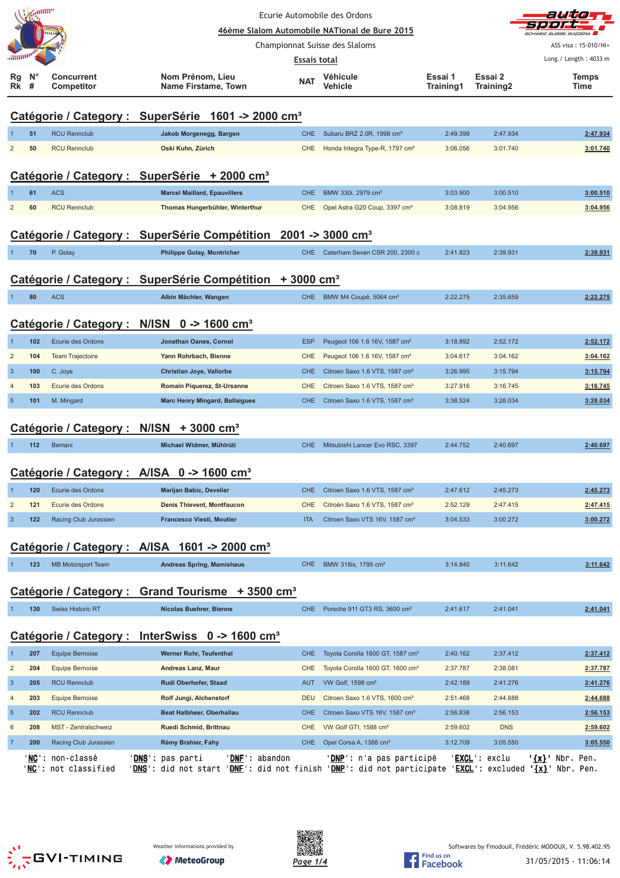|                                  |                            |                                        | Ecurie Automobile des Ordons                                                                                                                                                                       |                     | auto<br>31. J 21. 2                                                                      |                      |                        |                       |
|----------------------------------|----------------------------|----------------------------------------|----------------------------------------------------------------------------------------------------------------------------------------------------------------------------------------------------|---------------------|------------------------------------------------------------------------------------------|----------------------|------------------------|-----------------------|
|                                  |                            |                                        |                                                                                                                                                                                                    |                     | 46ème Slalom Automobile NATional de Bure 2015                                            |                      |                        |                       |
|                                  |                            |                                        |                                                                                                                                                                                                    |                     | Championnat Suisse des Slaloms                                                           |                      |                        | ASS visa: 15-010/NI+  |
|                                  |                            |                                        |                                                                                                                                                                                                    | <b>Essais total</b> |                                                                                          |                      |                        | Long./ Length: 4033 m |
| Rg<br>Rk                         | <b>N</b> <sup>c</sup><br># | <b>Concurrent</b><br><b>Competitor</b> | Nom Prénom, Lieu<br>Name Firstame, Town                                                                                                                                                            | <b>NAT</b>          | <b>Véhicule</b><br>Vehicle                                                               | Essai 1<br>Training1 | Essai 2<br>Training2   | <b>Temps</b><br>Time  |
|                                  |                            |                                        | Catégorie / Category : SuperSérie 1601 -> 2000 cm <sup>3</sup>                                                                                                                                     |                     |                                                                                          |                      |                        |                       |
|                                  | 51                         | <b>RCU Rennclub</b>                    | Jakob Morgenegg, Bargen                                                                                                                                                                            | <b>CHE</b>          | Subaru BRZ 2.0R, 1998 cm <sup>3</sup>                                                    | 2:49.399             | 2:47.934               | 2:47.934              |
| $\overline{2}$                   | 50                         | <b>RCU Rennclub</b>                    | Oski Kuhn, Zürich                                                                                                                                                                                  | <b>CHE</b>          | Honda Integra Type-R, 1797 cm <sup>3</sup>                                               | 3:06.056             | 3:01.740               | 3:01.740              |
|                                  |                            |                                        |                                                                                                                                                                                                    |                     |                                                                                          |                      |                        |                       |
|                                  |                            |                                        | Catégorie / Category : SuperSérie + 2000 cm <sup>3</sup>                                                                                                                                           |                     |                                                                                          |                      |                        |                       |
|                                  | 61                         | <b>ACS</b>                             | <b>Marcel Maillard, Epauvillers</b>                                                                                                                                                                | <b>CHE</b>          | BMW 330i, 2979 cm <sup>3</sup>                                                           | 3:03.900             | 3:00.510               | 3:00.510              |
| $\overline{2}$                   | 60                         | <b>RCU Rennclub</b>                    | Thomas Hungerbühler, Winterthur                                                                                                                                                                    | <b>CHE</b>          | Opel Astra G20 Coup, 3397 cm <sup>3</sup>                                                | 3:08.819             | 3:04.956               | 3:04.956              |
|                                  |                            |                                        |                                                                                                                                                                                                    |                     |                                                                                          |                      |                        |                       |
|                                  |                            |                                        | Catégorie / Category : SuperSérie Compétition 2001 -> 3000 cm <sup>3</sup>                                                                                                                         |                     |                                                                                          |                      |                        |                       |
|                                  | 70                         | P. Golay                               | <b>Philippe Golay, Montricher</b>                                                                                                                                                                  | CHE                 | Caterham Seven CSR 200, 2300 c                                                           | 2:41.823             | 2:39.931               | 2:39.931              |
|                                  |                            |                                        |                                                                                                                                                                                                    |                     |                                                                                          |                      |                        |                       |
|                                  |                            |                                        | Catégorie / Category : SuperSérie Compétition + 3000 cm <sup>3</sup>                                                                                                                               |                     |                                                                                          |                      |                        |                       |
|                                  | 80                         | <b>ACS</b>                             | Albin Mächler, Wangen                                                                                                                                                                              | CHE                 | BMW M4 Coupé, 5064 cm <sup>3</sup>                                                       | 2:22.275             | 2:35.659               | 2:22.275              |
|                                  |                            | Catégorie / Category :                 | N/ISN $0 - > 1600$ cm <sup>3</sup>                                                                                                                                                                 |                     |                                                                                          |                      |                        |                       |
|                                  |                            |                                        |                                                                                                                                                                                                    |                     |                                                                                          |                      |                        |                       |
|                                  | 102                        | Ecurie des Ordons                      | Jonathan Oanes, Cornol                                                                                                                                                                             | <b>ESP</b>          | Peugeot 106 1.6 16V, 1587 cm <sup>3</sup>                                                | 3:18.892             | 2:52.172<br>3:04.162   | 2:52.172              |
| $\overline{2}$                   | 104                        | Team Trajectoire                       | Yann Rohrbach, Bienne                                                                                                                                                                              | CHE                 | Peugeot 106 1.6 16V, 1587 cm <sup>3</sup>                                                | 3:04.617             |                        | 3:04.162              |
| $\overline{3}$<br>$\overline{4}$ | 100<br>103                 | C. Joye<br>Ecurie des Ordons           | Christian Joye, Vallorbe<br>Romain Piquerez, St-Ursanne                                                                                                                                            | <b>CHE</b><br>CHE   | Citroen Saxo 1.6 VTS, 1587 cm <sup>3</sup><br>Citroen Saxo 1.6 VTS, 1587 cm <sup>3</sup> | 3:26.995<br>3:27.916 | 3:15.794<br>3:16.745   | 3:15.794<br>3:16.745  |
| 5                                | 101                        | M. Mingard                             | <b>Marc Henry Mingard, Ballaigues</b>                                                                                                                                                              | <b>CHE</b>          | Citroen Saxo 1.6 VTS, 1587 cm <sup>3</sup>                                               | 3:38.524             | 3:28.034               | 3:28.034              |
|                                  |                            |                                        |                                                                                                                                                                                                    |                     |                                                                                          |                      |                        |                       |
|                                  |                            |                                        | Catégorie / Category : N/ISN + 3000 cm <sup>3</sup>                                                                                                                                                |                     |                                                                                          |                      |                        |                       |
|                                  | 112                        | Bemani                                 | Michael Widmer, Mühlrüti                                                                                                                                                                           | <b>CHE</b>          | Mitsubishi Lancer Evo RSC, 3397                                                          | 2:44.752             | 2:40.697               | 2:40.697              |
|                                  |                            |                                        |                                                                                                                                                                                                    |                     |                                                                                          |                      |                        |                       |
|                                  |                            |                                        | Catégorie / Category : A/ISA 0 -> 1600 cm <sup>3</sup>                                                                                                                                             |                     |                                                                                          |                      |                        |                       |
| -1                               | 120                        | Ecurie des Ordons                      | Marijan Babic, Develier                                                                                                                                                                            | <b>CHE</b>          | Citroen Saxo 1.6 VTS, 1587 cm <sup>3</sup>                                               | 2:47.612             | 2:45.273               | 2:45.273              |
| $\overline{\mathbf{c}}$          | 121                        | Ecurie des Ordons                      | Denis Thievent, Montfaucon                                                                                                                                                                         | <b>CHE</b>          | Citroën Saxo 1.6 VTS, 1587 cm <sup>3</sup>                                               | 2:52.129             | 2:47.415               | 2:47.415              |
| $\mathbf{3}$                     | 122                        | Racing Club Jurassien                  | Francesco Viesti, Moutier                                                                                                                                                                          | <b>ITA</b>          | Citroen Saxo VTS 16V, 1587 cm <sup>3</sup>                                               | 3:04.533             | 3:00.272               | 3:00.272              |
|                                  |                            |                                        |                                                                                                                                                                                                    |                     |                                                                                          |                      |                        |                       |
|                                  |                            |                                        | Catégorie / Category : A/ISA 1601 -> 2000 cm <sup>3</sup>                                                                                                                                          |                     |                                                                                          |                      |                        |                       |
|                                  | 123                        | <b>MB Motorsport Team</b>              | <b>Andreas Spring, Mamishaus</b>                                                                                                                                                                   | <b>CHE</b>          | BMW 318is, 1795 cm <sup>3</sup>                                                          | 3:14.840             | 3:11.642               | 3:11.642              |
|                                  |                            |                                        |                                                                                                                                                                                                    |                     |                                                                                          |                      |                        |                       |
|                                  |                            |                                        | Catégorie / Category : Grand Tourisme + 3500 cm <sup>3</sup>                                                                                                                                       |                     |                                                                                          |                      |                        |                       |
|                                  | 130                        | <b>Swiss Historic RT</b>               | <b>Nicolas Buehrer, Bienne</b>                                                                                                                                                                     | <b>CHE</b>          | Porsche 911 GT3 RS, 3600 cm <sup>3</sup>                                                 | 2:41.617             | 2:41.041               | 2:41.041              |
|                                  |                            |                                        |                                                                                                                                                                                                    |                     |                                                                                          |                      |                        |                       |
|                                  |                            |                                        | Catégorie / Category : InterSwiss 0 -> 1600 cm <sup>3</sup>                                                                                                                                        |                     |                                                                                          |                      |                        |                       |
| -1                               | 207                        | <b>Equipe Bernoise</b>                 | Werner Rohr, Teufenthal                                                                                                                                                                            | <b>CHE</b>          | Toyota Corolla 1600 GT, 1587 cm <sup>3</sup>                                             | 2:40.162             | 2:37.412               | 2:37.412              |
| $\overline{\mathbf{c}}$          | 204                        | Equipe Bernoise                        | Andreas Lanz, Maur                                                                                                                                                                                 | CHE                 | Toyota Corolla 1600 GT, 1600 cm <sup>3</sup>                                             | 2:37.787             | 2:38.081               | 2:37.787              |
| $\mathbf{3}$                     | 205                        | <b>RCU Rennclub</b>                    | Rudi Oberhofer, Staad                                                                                                                                                                              | <b>AUT</b>          | VW Golf, 1598 cm <sup>3</sup>                                                            | 2:42.189             | 2:41.276               | 2:41.276              |
| $\overline{4}$                   | 203                        | <b>Equipe Bernoise</b>                 | Rolf Jungi, Alchenstorf                                                                                                                                                                            | <b>DEU</b>          | Citroen Saxo 1.6 VTS, 1600 cm <sup>3</sup>                                               | 2:51.468             | 2:44.688               | 2:44.688              |
| $\sqrt{5}$                       | 202                        | <b>RCU Rennclub</b>                    | Beat Halbheer, Oberhallau                                                                                                                                                                          | <b>CHE</b>          | Citroen Saxo VTS 16V, 1587 cm <sup>3</sup>                                               | 2:56.838             | 2:56.153               | 2:56.153              |
| 6                                | 208                        | MST - Zentralschweiz                   | Ruedi Schmid, Brittnau                                                                                                                                                                             | <b>CHE</b>          | VW Golf GTI, 1588 cm <sup>3</sup>                                                        | 2:59.602             | <b>DNS</b>             | 2:59.602              |
| $\overline{7}$                   | 200                        | Racing Club Jurassien                  | Rémy Brahier, Fahy                                                                                                                                                                                 | CHE                 | Opel Corsa A, 1388 cm <sup>3</sup>                                                       | 3:12.709             | 3:05.550               | 3:05.550              |
|                                  | ' <u>NC</u> ' :            | non-classé<br>NC': not classified      | 'DNE': abandon<br>' <u>DNS</u> ': pas parti<br>' <u>DNS</u> ': did not start ' <u>DNF</u> ': did not finish ' <u>DNP</u> ': did not participate ' <u>EXCL</u> ': excluded ' <u>{x}</u> ' Nbr. Pen. |                     | ' <u>DNP</u> ': n'a pas participé                                                        |                      | ' <u>EXCL</u> ': exclu | '{x}' Nbr. Pen.       |
|                                  |                            |                                        |                                                                                                                                                                                                    |                     |                                                                                          |                      |                        |                       |





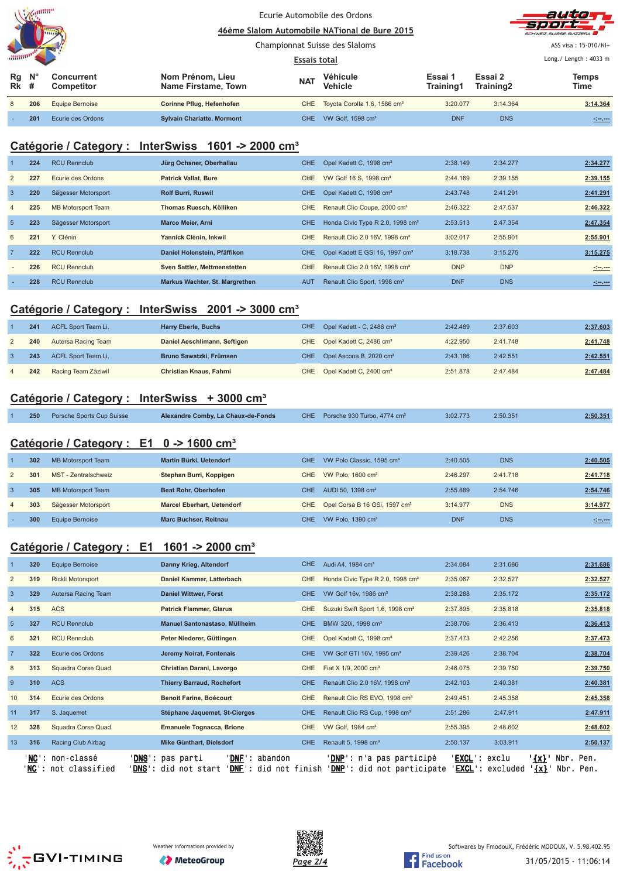|                   | $\mathcal{N}$ / $\mathcal{N}$ and $\mathcal{N}$ |                                 | Ecurie Automobile des Ordons<br>46ème Slalom Automobile NATional de Bure 2015 |            |                                          |                          |                      | autor<br><b>SOOF</b><br>SCHWEIZ.SUISSE.SVIZZERA |
|-------------------|-------------------------------------------------|---------------------------------|-------------------------------------------------------------------------------|------------|------------------------------------------|--------------------------|----------------------|-------------------------------------------------|
|                   |                                                 |                                 | Championnat Suisse des Slaloms                                                |            |                                          |                          |                      | ASS visa: 15-010/NI+                            |
| <b>ANNIVERS</b>   |                                                 |                                 |                                                                               |            |                                          | Long. / Length: $4033$ m |                      |                                                 |
| Rg<br><b>Rk</b> # | $N^{\circ}$                                     | <b>Concurrent</b><br>Competitor | Nom Prénom, Lieu<br>Name Firstame, Town                                       | <b>NAT</b> | Véhicule<br><b>Vehicle</b>               | Essai 1<br>Training1     | Essai 2<br>Training2 | <b>Temps</b><br>Time                            |
| 8                 | 206                                             | <b>Equipe Bernoise</b>          | Corinne Pflug, Hefenhofen                                                     | <b>CHE</b> | Toyota Corolla 1.6, 1586 cm <sup>3</sup> | 3:20.077                 | 3:14.364             | 3:14.364                                        |
|                   | 201                                             | Ecurie des Ordons               | <b>Sylvain Chariatte, Mormont</b>                                             | CHE.       | VW Golf, 1598 cm <sup>3</sup>            | <b>DNF</b>               | <b>DNS</b>           | <u>simon</u>                                    |

# **Catégorie / Category : InterSwiss 1601 -> 2000 cm³**

|                | 224 | <b>RCU Rennclub</b>       | Jürg Ochsner, Oberhallau       | <b>CHE</b> | Opel Kadett C, 1998 cm <sup>3</sup>          | 2:38.149   | 2:34.277   | 2:34.277         |
|----------------|-----|---------------------------|--------------------------------|------------|----------------------------------------------|------------|------------|------------------|
| $\overline{2}$ | 227 | Ecurie des Ordons         | <b>Patrick Vallat, Bure</b>    | CHE.       | VW Golf 16 S, 1998 cm <sup>3</sup>           | 2:44.169   | 2:39.155   | 2:39.155         |
| $\overline{3}$ | 220 | Sägesser Motorsport       | <b>Rolf Burri, Ruswil</b>      | CHE.       | Opel Kadett C, 1998 cm <sup>3</sup>          | 2:43.748   | 2:41.291   | 2:41.291         |
| $\overline{4}$ | 225 | <b>MB Motorsport Team</b> | Thomas Ruesch, Kölliken        | CHE        | Renault Clio Coupe, 2000 cm <sup>3</sup>     | 2:46.322   | 2:47.537   | 2:46.322         |
| 5              | 223 | Sägesser Motorsport       | <b>Marco Meier, Arni</b>       | <b>CHE</b> | Honda Civic Type R 2.0, 1998 cm <sup>3</sup> | 2:53.513   | 2:47.354   | 2:47.354         |
| 6              | 221 | Y. Clénin                 | Yannick Clénin, Inkwil         | <b>CHE</b> | Renault Clio 2.0 16V, 1998 cm <sup>3</sup>   | 3:02.017   | 2:55.901   | 2:55.901         |
| $\overline{7}$ | 222 | <b>RCU Rennclub</b>       | Daniel Holenstein, Pfäffikon   | <b>CHE</b> | Opel Kadett E GSI 16, 1997 cm <sup>3</sup>   | 3:18.738   | 3:15.275   | 3:15.275         |
|                | 226 | <b>RCU Rennclub</b>       | Sven Sattler, Mettmenstetten   | CHE.       | Renault Clio 2.0 16V, 1998 cm <sup>3</sup>   | <b>DNP</b> | <b>DNP</b> | <u>simens</u>    |
|                | 228 | <b>RCU Rennclub</b>       | Markus Wachter, St. Margrethen | <b>AUT</b> | Renault Clio Sport, 1998 cm <sup>3</sup>     | <b>DNF</b> | <b>DNS</b> | $-1 - 1 - 1 - 1$ |

### **Catégorie / Category : InterSwiss 2001 -> 3000 cm³**

|   | 241 | ACFL Sport Team Li. | Harry Eberle, Buchs          | CHE Opel Kadett - C, 2486 cm <sup>3</sup> | 2:42.489 | 2:37.603 | 2:37.603 |
|---|-----|---------------------|------------------------------|-------------------------------------------|----------|----------|----------|
|   | 240 | Autersa Racing Team | Daniel Aeschlimann, Seftigen | CHE Opel Kadett C, 2486 cm <sup>3</sup>   | 4:22.950 | 2:41.748 | 2:41.748 |
|   | 243 | ACFL Sport Team Li. | Bruno Sawatzki, Frümsen      | CHE Opel Ascona B, 2020 cm <sup>3</sup>   | 2:43.186 | 2:42.551 | 2:42.551 |
| 4 | 242 | Racing Team Zäziwil | Christian Knaus, Fahrni      | CHE Opel Kadett C, 2400 cm <sup>3</sup>   | 2:51.878 | 2:47.484 | 2:47.484 |

### **Catégorie / Category : InterSwiss + 3000 cm³**

|  | 250 Porsche Sports Cup Suisse | Alexandre Comby, La Chaux-de-Fonds |  | CHE Porsche 930 Turbo, 4774 cm <sup>3</sup> | 3:02.773 | 2:50.351 | 2:50.351 |
|--|-------------------------------|------------------------------------|--|---------------------------------------------|----------|----------|----------|
|--|-------------------------------|------------------------------------|--|---------------------------------------------|----------|----------|----------|

### **Catégorie / Category : E1 0 -> 1600 cm³**

|                | 302 | MB Motorsport Team   | Martin Bürki, Uetendorf           | CHE.  | VW Polo Classic, 1595 cm <sup>3</sup>         | 2:40.505   | <b>DNS</b> | 2:40.505          |
|----------------|-----|----------------------|-----------------------------------|-------|-----------------------------------------------|------------|------------|-------------------|
| 2              | 301 | MST - Zentralschweiz | Stephan Burri, Koppigen           | CHE.  | VW Polo, 1600 cm <sup>3</sup>                 | 2:46.297   | 2:41.718   | 2:41.718          |
| 3              | 305 | MB Motorsport Team   | <b>Beat Rohr, Oberhofen</b>       | CHE.  | AUDI 50, 1398 cm <sup>3</sup>                 | 2:55.889   | 2:54.746   | 2:54.746          |
| $\overline{4}$ | 303 | Sägesser Motorsport  | <b>Marcel Eberhart, Uetendorf</b> |       | CHE Opel Corsa B 16 GSi, 1597 cm <sup>3</sup> | 3:14.977   | <b>DNS</b> | 3:14.977          |
|                | 300 | Equipe Bernoise      | <b>Marc Buchser, Reitnau</b>      | CHE I | VW Polo, $1390 \text{ cm}^3$                  | <b>DNF</b> | <b>DNS</b> | <u> 1919-1911</u> |
|                |     |                      |                                   |       |                                               |            |            |                   |

### **Catégorie / Category : E1 1601 -> 2000 cm³**

|                | 320    | Equipe Bernoise                             | Danny Krieg, Altendorf                                                                        | CHE.       | Audi A4, 1984 cm <sup>3</sup>                                       | 2:34.084                         | 2:31.686                                      | 2:31.686          |
|----------------|--------|---------------------------------------------|-----------------------------------------------------------------------------------------------|------------|---------------------------------------------------------------------|----------------------------------|-----------------------------------------------|-------------------|
| 2              | 319    | <b>Rickli Motorsport</b>                    | Daniel Kammer, Latterbach                                                                     | <b>CHE</b> | Honda Civic Type R 2.0, 1998 cm <sup>3</sup>                        | 2:35.067                         | 2:32.527                                      | 2:32.527          |
| $\overline{3}$ | 329    | Autersa Racing Team                         | <b>Daniel Wittwer, Forst</b>                                                                  | <b>CHE</b> | VW Golf 16v, 1986 cm <sup>3</sup>                                   | 2:38.288                         | 2:35.172                                      | 2:35.172          |
| $\overline{4}$ | 315    | ACS                                         | <b>Patrick Flammer, Glarus</b>                                                                | <b>CHE</b> | Suzuki Swift Sport 1.6, 1998 cm <sup>3</sup>                        | 2:37.895                         | 2:35.818                                      | 2:35.818          |
| 5              | 327    | <b>RCU Rennclub</b>                         | Manuel Santonastaso, Müllheim                                                                 | <b>CHE</b> | BMW 320i, 1998 cm <sup>3</sup>                                      | 2:38.706                         | 2:36.413                                      | 2:36.413          |
| 6              | 321    | <b>RCU Rennclub</b>                         | Peter Niederer, Güttingen                                                                     | <b>CHE</b> | Opel Kadett C, 1998 cm <sup>3</sup>                                 | 2:37.473                         | 2:42.256                                      | 2:37.473          |
|                | 322    | Ecurie des Ordons                           | Jeremy Noirat, Fontenais                                                                      | CHE.       | VW Golf GTI 16V, 1995 cm <sup>3</sup>                               | 2:39.426                         | 2:38.704                                      | 2:38.704          |
| 8              | 313    | Squadra Corse Quad.                         | Christian Darani, Lavorgo                                                                     | <b>CHE</b> | Fiat X 1/9, 2000 cm <sup>3</sup>                                    | 2:46.075                         | 2:39.750                                      | 2:39.750          |
| 9              | 310    | <b>ACS</b>                                  | <b>Thierry Barraud, Rochefort</b>                                                             | <b>CHE</b> | Renault Clio 2.0 16V, 1998 cm <sup>3</sup>                          | 2:42.103                         | 2:40.381                                      | 2:40.381          |
| 10             | 314    | Ecurie des Ordons                           | <b>Benoit Farine, Boécourt</b>                                                                | <b>CHE</b> | Renault Clio RS EVO, 1998 cm <sup>3</sup>                           | 2:49.451                         | 2:45.358                                      | 2:45.358          |
| 11             | 317    | S. Jaquemet                                 | Stéphane Jaquemet, St-Cierges                                                                 | <b>CHE</b> | Renault Clio RS Cup, 1998 cm <sup>3</sup>                           | 2:51.286                         | 2:47.911                                      | 2:47.911          |
| 12             | 328    | Squadra Corse Quad.                         | Emanuele Tognacca, Brione                                                                     | <b>CHE</b> | VW Golf, 1984 cm <sup>3</sup>                                       | 2:55.395                         | 2:48.602                                      | 2:48.602          |
| 13             | 316    | Racing Club Airbag                          | Mike Günthart, Dielsdorf                                                                      | CHE.       | Renault 5, 1998 cm <sup>3</sup>                                     | 2:50.137                         | 3:03.911                                      | 2:50.137          |
|                | ' NC ' | ' <b>NC</b> ': non-classé<br>not classified | ' DNF<br>' <b>DNS':</b> pas parti<br>abandon<br>DNF'<br>DNS': did not start<br>did not finish |            | ' <u>DNP</u> ': n'a pas participé<br>'DNP' :<br>did not participate | ' <b>EXCL</b> ': exclu<br>EXCL': | ' <u>{x}</u> '<br>Nbr.<br>$\{x\}$<br>excluded | Pen.<br>Nbr. Pen. |





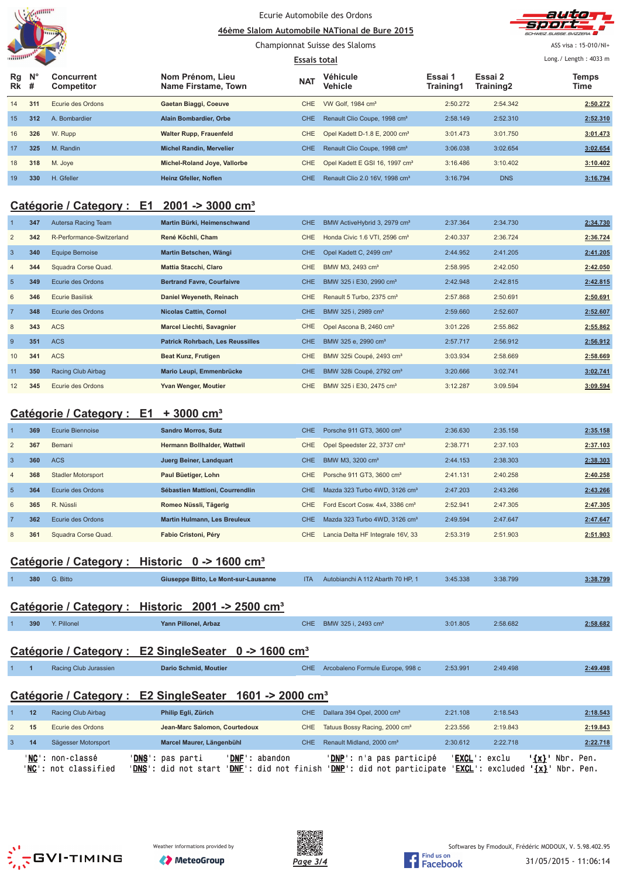

### Ecurie Automobile des Ordons 46ème Slalom Automobile NATional de Bure 2015



Championnat Suisse des Slaloms

**Essais total** 

ASS visa: 15-010/NI+

Long./ Length: 4033 m

| Rg<br>Rk        | $\mathsf{N}^\circ$<br># | <b>Concurrent</b><br>Competitor | Nom Prénom, Lieu<br>Name Firstame, Town | <b>NAT</b> | Véhicule<br>Vehicle                        | Essai 1<br>Training1 | Essai 2<br>Training2 | Temps<br>Time |
|-----------------|-------------------------|---------------------------------|-----------------------------------------|------------|--------------------------------------------|----------------------|----------------------|---------------|
| 14              | 311                     | Ecurie des Ordons               | Gaetan Biaggi, Coeuve                   | CHE.       | VW Golf, 1984 cm <sup>3</sup>              | 2:50.272             | 2:54.342             | 2:50.272      |
| 15 <sup>1</sup> | 312                     | A. Bombardier                   | <b>Alain Bombardier, Orbe</b>           | <b>CHE</b> | Renault Clio Coupe, 1998 cm <sup>3</sup>   | 2:58.149             | 2:52.310             | 2:52.310      |
| 16              | 326                     | W. Rupp                         | <b>Walter Rupp, Frauenfeld</b>          | CHE        | Opel Kadett D-1.8 E. 2000 cm <sup>3</sup>  | 3:01.473             | 3:01.750             | 3:01.473      |
| 17              | 325                     | M. Randin                       | <b>Michel Randin, Mervelier</b>         | <b>CHE</b> | Renault Clio Coupe, 1998 cm <sup>3</sup>   | 3:06.038             | 3:02.654             | 3:02.654      |
| 18              | 318                     | M. Joye                         | Michel-Roland Joye, Vallorbe            | CHE        | Opel Kadett E GSI 16, 1997 cm <sup>3</sup> | 3:16.486             | 3:10.402             | 3:10.402      |
| 19              | 330                     | H. Gfeller                      | <b>Heinz Gfeller, Noflen</b>            | CHE.       | Renault Clio 2.0 16V, 1998 cm <sup>3</sup> | 3:16.794             | <b>DNS</b>           | 3:16.794      |

## **Catégorie / Category : E1 2001 -> 3000 cm³**

|                | 347 | Autersa Racing Team       | Martin Bürki, Heimenschwand             | CHE.       | BMW ActiveHybrid 3, 2979 cm <sup>3</sup>  | 2:37.364 | 2:34.730 | 2:34.730 |
|----------------|-----|---------------------------|-----------------------------------------|------------|-------------------------------------------|----------|----------|----------|
| $\overline{2}$ | 342 | R-Performance-Switzerland | René Köchli, Cham                       | <b>CHE</b> | Honda Civic 1.6 VTI, 2596 cm <sup>3</sup> | 2:40.337 | 2:36.724 | 2:36.724 |
| $\overline{3}$ | 340 | Equipe Bernoise           | Martin Betschen, Wängi                  | CHE.       | Opel Kadett C, 2499 cm <sup>3</sup>       | 2:44.952 | 2:41.205 | 2:41.205 |
| $\overline{4}$ | 344 | Squadra Corse Quad.       | <b>Mattia Stacchi, Claro</b>            | <b>CHE</b> | BMW M3, 2493 cm <sup>3</sup>              | 2:58.995 | 2:42.050 | 2:42.050 |
| 5              | 349 | Ecurie des Ordons         | <b>Bertrand Favre, Courfaivre</b>       | <b>CHE</b> | BMW 325 i E30, 2990 cm <sup>3</sup>       | 2:42.948 | 2:42.815 | 2:42.815 |
| 6              | 346 | Ecurie Basilisk           | Daniel Weyeneth, Reinach                | <b>CHE</b> | Renault 5 Turbo, 2375 cm <sup>3</sup>     | 2:57.868 | 2:50.691 | 2:50.691 |
| $\overline{7}$ | 348 | Ecurie des Ordons         | <b>Nicolas Cattin, Cornol</b>           | CHE.       | BMW 325 i, 2989 cm <sup>3</sup>           | 2:59.660 | 2:52.607 | 2:52.607 |
| 8              | 343 | <b>ACS</b>                | Marcel Liechti, Savagnier               | <b>CHE</b> | Opel Ascona B, 2460 cm <sup>3</sup>       | 3:01.226 | 2:55.862 | 2:55.862 |
| 9              | 351 | <b>ACS</b>                | <b>Patrick Rohrbach, Les Reussilles</b> | <b>CHE</b> | BMW 325 e, 2990 cm <sup>3</sup>           | 2:57.717 | 2:56.912 | 2:56.912 |
| 10             | 341 | <b>ACS</b>                | Beat Kunz, Frutigen                     | CHE        | BMW 325i Coupé, 2493 cm <sup>3</sup>      | 3:03.934 | 2:58.669 | 2:58.669 |
| 11             | 350 | Racing Club Airbag        | Mario Leupi, Emmenbrücke                | CHE.       | BMW 328i Coupé, 2792 cm <sup>3</sup>      | 3:20.666 | 3:02.741 | 3:02.741 |
| 12             | 345 | Ecurie des Ordons         | Yvan Wenger, Moutier                    | CHE        | BMW 325 i E30, 2475 cm <sup>3</sup>       | 3:12.287 | 3:09.594 | 3:09.594 |

## **Catégorie / Category : E1 + 3000 cm³**

|                | 369 | Ecurie Biennoise          | <b>Sandro Morros, Sutz</b>          | <b>CHE</b> | Porsche 911 GT3, 3600 cm <sup>3</sup>       | 2:36.630 | 2:35.158 | 2:35.158 |
|----------------|-----|---------------------------|-------------------------------------|------------|---------------------------------------------|----------|----------|----------|
| 2              | 367 | Bemani                    | Hermann Bollhalder, Wattwil         | CHE.       | Opel Speedster 22, 3737 cm <sup>3</sup>     | 2:38.771 | 2:37.103 | 2:37.103 |
| $\overline{3}$ | 360 | <b>ACS</b>                | Juerg Beiner, Landquart             | <b>CHE</b> | BMW M3, 3200 cm <sup>3</sup>                | 2:44.153 | 2:38.303 | 2:38.303 |
| $\overline{4}$ | 368 | <b>Stadler Motorsport</b> | Paul Büetiger, Lohn                 | CHE.       | Porsche 911 GT3, 3600 cm <sup>3</sup>       | 2:41.131 | 2:40.258 | 2:40.258 |
| $\overline{5}$ | 364 | Ecurie des Ordons         | Sébastien Mattioni, Courrendlin     | <b>CHE</b> | Mazda 323 Turbo 4WD, 3126 cm <sup>3</sup>   | 2:47.203 | 2:43.266 | 2:43.266 |
| 6              | 365 | R. Nüssli                 | Romeo Nüssli, Tägerig               | CHE.       | Ford Escort Cosw. 4x4. 3386 cm <sup>3</sup> | 2:52.941 | 2:47.305 | 2:47.305 |
| $\overline{7}$ | 362 | Ecurie des Ordons         | <b>Martin Hulmann, Les Breuleux</b> | <b>CHE</b> | Mazda 323 Turbo 4WD, 3126 cm <sup>3</sup>   | 2:49.594 | 2:47.647 | 2:47.647 |
| 8              | 361 | Squadra Corse Quad.       | Fabio Cristoni, Péry                | <b>CHE</b> | Lancia Delta HF Integrale 16V, 33           | 2:53.319 | 2:51.903 | 2:51.903 |

## **Catégorie / Category : Historic 0 -> 1600 cm³**

|                                                                     |                                                                     | $ \cdots$ $\cdots$ $\cdots$ $\cdots$ $\cdots$ $\cdots$ |                                      |            |                                           |          |          |          |  |  |
|---------------------------------------------------------------------|---------------------------------------------------------------------|--------------------------------------------------------|--------------------------------------|------------|-------------------------------------------|----------|----------|----------|--|--|
|                                                                     | 380                                                                 | G. Bitto                                               | Giuseppe Bitto, Le Mont-sur-Lausanne | <b>ITA</b> | Autobianchi A 112 Abarth 70 HP, 1         | 3:45.338 | 3:38.799 | 3:38.799 |  |  |
|                                                                     | Catégorie / Category : Historic 2001 -> 2500 cm <sup>3</sup>        |                                                        |                                      |            |                                           |          |          |          |  |  |
|                                                                     | 390                                                                 | Y. Pillonel                                            | Yann Pillonel, Arbaz                 | CHE.       | BMW 325 i, 2493 cm <sup>3</sup>           | 3:01.805 | 2:58.682 | 2:58.682 |  |  |
| Catégorie / Category : E2 SingleSeater<br>0 -> 1600 cm <sup>3</sup> |                                                                     |                                                        |                                      |            |                                           |          |          |          |  |  |
|                                                                     |                                                                     | Racing Club Jurassien                                  | Dario Schmid, Moutier                | CHE.       | Arcobaleno Formule Europe, 998 c          | 2:53.991 | 2:49.498 | 2:49.498 |  |  |
|                                                                     | Catégorie / Category : E2 SingleSeater 1601 -> 2000 cm <sup>3</sup> |                                                        |                                      |            |                                           |          |          |          |  |  |
|                                                                     | 12                                                                  | Racing Club Airbag                                     | Philip Egli, Zürich                  | CHE.       | Dallara 394 Opel, 2000 cm <sup>3</sup>    | 2:21.108 | 2:18.543 | 2:18.543 |  |  |
| $\overline{2}$                                                      | 15                                                                  | Ecurie des Ordons                                      | Jean-Marc Salomon, Courtedoux        | <b>CHE</b> | Tatuus Bossy Racing, 2000 cm <sup>3</sup> | 2:23.556 | 2:19.843 | 2:19.843 |  |  |
| $\mathcal{B}$                                                       | 14                                                                  | Sägesser Motorsport                                    | Marcel Maurer, Längenbühl            | CHE.       | Renault Midland, 2000 cm <sup>3</sup>     | 2.30612  | 2.22718  | 2:22.718 |  |  |